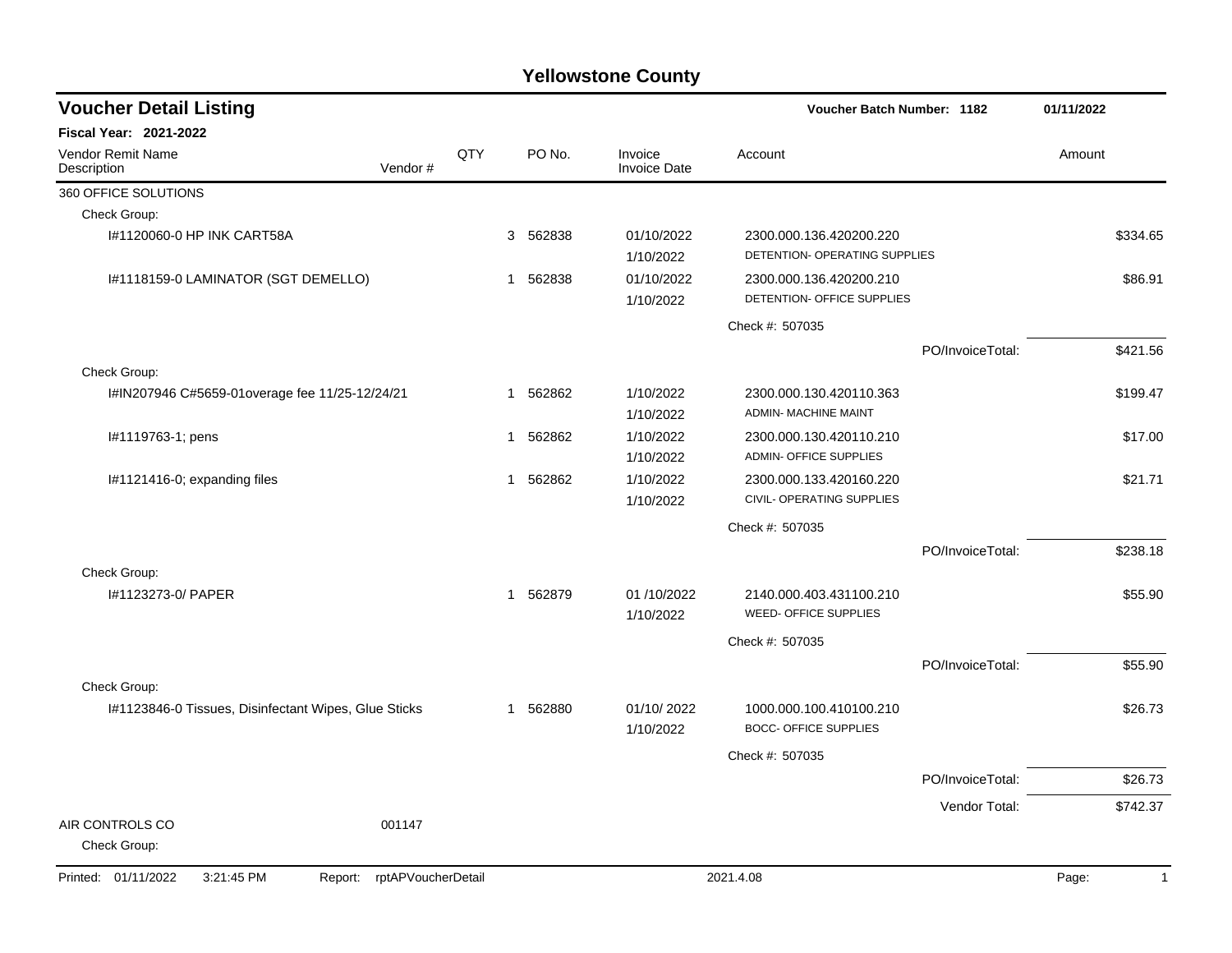| <b>Voucher Detail Listing</b>                        |                    |     |              |          |                                |                                                          | <b>Voucher Batch Number: 1182</b> |                       |  |
|------------------------------------------------------|--------------------|-----|--------------|----------|--------------------------------|----------------------------------------------------------|-----------------------------------|-----------------------|--|
| <b>Fiscal Year: 2021-2022</b>                        |                    |     |              |          |                                |                                                          |                                   |                       |  |
| Vendor Remit Name<br>Description                     | Vendor#            | QTY |              | PO No.   | Invoice<br><b>Invoice Date</b> | Account                                                  |                                   | Amount                |  |
| 360 OFFICE SOLUTIONS                                 |                    |     |              |          |                                |                                                          |                                   |                       |  |
| Check Group:                                         |                    |     |              |          |                                |                                                          |                                   |                       |  |
| I#1120060-0 HP INK CART58A                           |                    |     |              | 3 562838 | 01/10/2022<br>1/10/2022        | 2300.000.136.420200.220<br>DETENTION- OPERATING SUPPLIES |                                   | \$334.65              |  |
| I#1118159-0 LAMINATOR (SGT DEMELLO)                  |                    |     | 1            | 562838   | 01/10/2022<br>1/10/2022        | 2300.000.136.420200.210<br>DETENTION- OFFICE SUPPLIES    |                                   | \$86.91               |  |
|                                                      |                    |     |              |          |                                | Check #: 507035                                          |                                   |                       |  |
|                                                      |                    |     |              |          |                                |                                                          | PO/InvoiceTotal:                  | \$421.56              |  |
| Check Group:                                         |                    |     |              |          |                                |                                                          |                                   |                       |  |
| I#IN207946 C#5659-01overage fee 11/25-12/24/21       |                    |     | 1            | 562862   | 1/10/2022<br>1/10/2022         | 2300.000.130.420110.363<br><b>ADMIN- MACHINE MAINT</b>   |                                   | \$199.47              |  |
| I#1119763-1; pens                                    |                    |     | 1            | 562862   | 1/10/2022<br>1/10/2022         | 2300.000.130.420110.210<br><b>ADMIN- OFFICE SUPPLIES</b> |                                   | \$17.00               |  |
| I#1121416-0; expanding files                         |                    |     | 1            | 562862   | 1/10/2022<br>1/10/2022         | 2300.000.133.420160.220<br>CIVIL- OPERATING SUPPLIES     |                                   | \$21.71               |  |
|                                                      |                    |     |              |          |                                | Check #: 507035                                          |                                   |                       |  |
|                                                      |                    |     |              |          |                                |                                                          | PO/InvoiceTotal:                  | \$238.18              |  |
| Check Group:                                         |                    |     |              |          |                                |                                                          |                                   |                       |  |
| I#1123273-0/ PAPER                                   |                    |     | 1            | 562879   | 01/10/2022<br>1/10/2022        | 2140.000.403.431100.210<br>WEED- OFFICE SUPPLIES         |                                   | \$55.90               |  |
|                                                      |                    |     |              |          |                                | Check #: 507035                                          |                                   |                       |  |
|                                                      |                    |     |              |          |                                |                                                          | PO/InvoiceTotal:                  | \$55.90               |  |
| Check Group:                                         |                    |     |              |          |                                |                                                          |                                   |                       |  |
| I#1123846-0 Tissues, Disinfectant Wipes, Glue Sticks |                    |     | $\mathbf{1}$ | 562880   | 01/10/2022<br>1/10/2022        | 1000.000.100.410100.210<br><b>BOCC- OFFICE SUPPLIES</b>  |                                   | \$26.73               |  |
|                                                      |                    |     |              |          |                                | Check #: 507035                                          |                                   |                       |  |
|                                                      |                    |     |              |          |                                |                                                          | PO/InvoiceTotal:                  | \$26.73               |  |
|                                                      |                    |     |              |          |                                |                                                          | Vendor Total:                     | \$742.37              |  |
| AIR CONTROLS CO<br>Check Group:                      | 001147             |     |              |          |                                |                                                          |                                   |                       |  |
| Printed: 01/11/2022<br>3:21:45 PM<br>Report:         | rptAPVoucherDetail |     |              |          |                                | 2021.4.08                                                |                                   | Page:<br>$\mathbf{1}$ |  |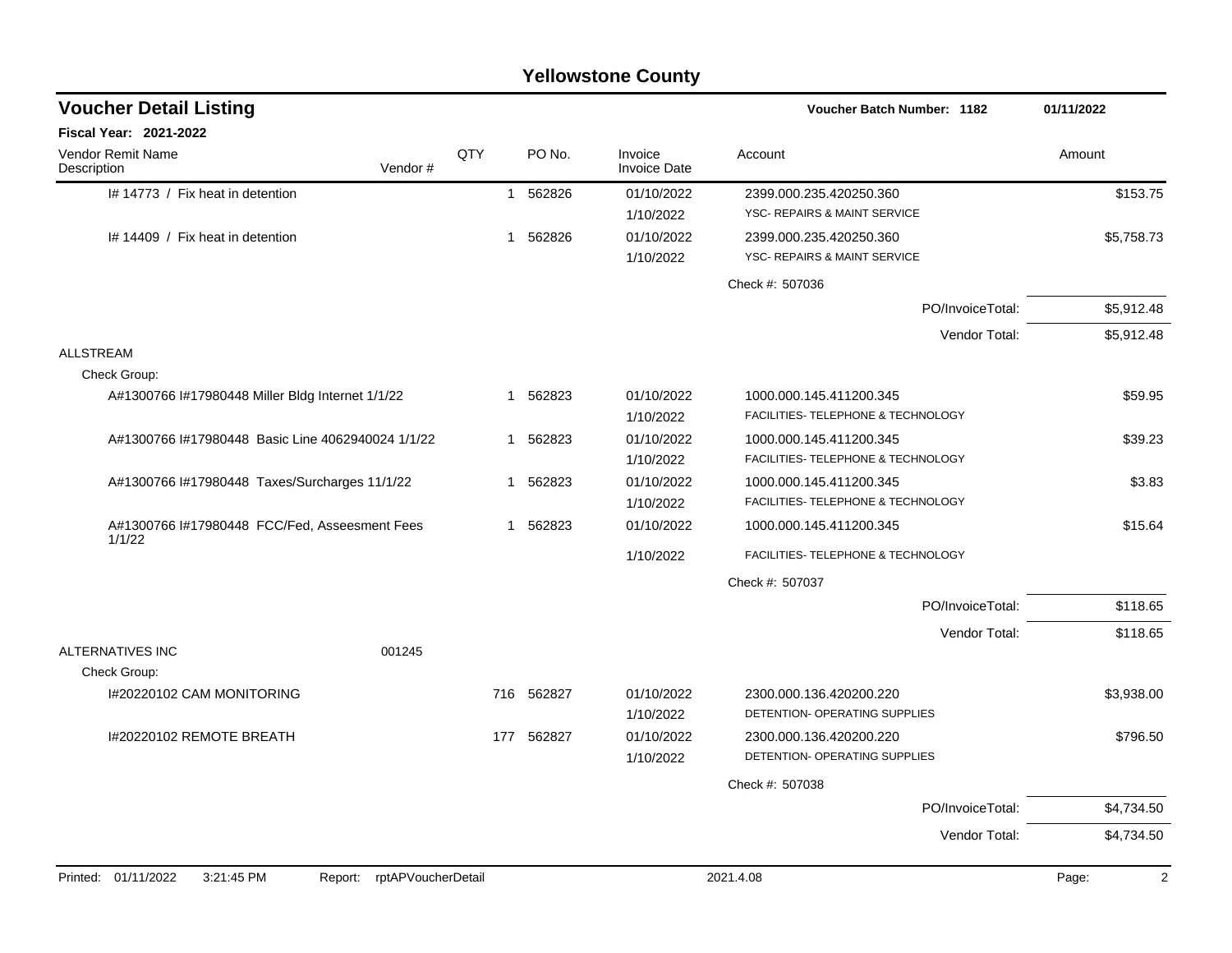|                                                         |                    |             |          | <b>Yellowstone County</b>      |                                                               |                         |
|---------------------------------------------------------|--------------------|-------------|----------|--------------------------------|---------------------------------------------------------------|-------------------------|
| <b>Voucher Detail Listing</b>                           |                    |             |          |                                | <b>Voucher Batch Number: 1182</b>                             | 01/11/2022              |
| Fiscal Year: 2021-2022                                  |                    |             |          |                                |                                                               |                         |
| Vendor Remit Name<br>Description                        | Vendor#            | QTY         | PO No.   | Invoice<br><b>Invoice Date</b> | Account                                                       | Amount                  |
| I# 14773 / Fix heat in detention                        |                    |             | 1 562826 | 01/10/2022<br>1/10/2022        | 2399.000.235.420250.360<br>YSC- REPAIRS & MAINT SERVICE       | \$153.75                |
| I# 14409 / Fix heat in detention                        |                    | $\mathbf 1$ | 562826   | 01/10/2022<br>1/10/2022        | 2399.000.235.420250.360<br>YSC- REPAIRS & MAINT SERVICE       | \$5,758.73              |
|                                                         |                    |             |          |                                | Check #: 507036                                               |                         |
|                                                         |                    |             |          |                                | PO/InvoiceTotal:                                              | \$5,912.48              |
|                                                         |                    |             |          |                                | Vendor Total:                                                 | \$5,912.48              |
| <b>ALLSTREAM</b><br>Check Group:                        |                    |             |          |                                |                                                               |                         |
| A#1300766 I#17980448 Miller Bldg Internet 1/1/22        |                    | -1          | 562823   | 01/10/2022<br>1/10/2022        | 1000.000.145.411200.345<br>FACILITIES- TELEPHONE & TECHNOLOGY | \$59.95                 |
| A#1300766 l#17980448 Basic Line 4062940024 1/1/22       |                    | 1           | 562823   | 01/10/2022<br>1/10/2022        | 1000.000.145.411200.345<br>FACILITIES- TELEPHONE & TECHNOLOGY | \$39.23                 |
| A#1300766 l#17980448 Taxes/Surcharges 11/1/22           |                    | 1           | 562823   | 01/10/2022<br>1/10/2022        | 1000.000.145.411200.345<br>FACILITIES- TELEPHONE & TECHNOLOGY | \$3.83                  |
| A#1300766 I#17980448 FCC/Fed, Asseesment Fees<br>1/1/22 |                    | -1          | 562823   | 01/10/2022                     | 1000.000.145.411200.345                                       | \$15.64                 |
|                                                         |                    |             |          | 1/10/2022                      | FACILITIES- TELEPHONE & TECHNOLOGY                            |                         |
|                                                         |                    |             |          |                                | Check #: 507037                                               |                         |
|                                                         |                    |             |          |                                | PO/InvoiceTotal:                                              | \$118.65                |
| ALTERNATIVES INC                                        | 001245             |             |          |                                | Vendor Total:                                                 | \$118.65                |
| Check Group:<br>I#20220102 CAM MONITORING               |                    | 716         | 562827   | 01/10/2022<br>1/10/2022        | 2300.000.136.420200.220<br>DETENTION- OPERATING SUPPLIES      | \$3,938.00              |
| I#20220102 REMOTE BREATH                                |                    | 177         | 562827   | 01/10/2022<br>1/10/2022        | 2300.000.136.420200.220<br>DETENTION- OPERATING SUPPLIES      | \$796.50                |
|                                                         |                    |             |          |                                | Check #: 507038                                               |                         |
|                                                         |                    |             |          |                                | PO/InvoiceTotal:                                              | \$4,734.50              |
|                                                         |                    |             |          |                                | Vendor Total:                                                 | \$4,734.50              |
| Printed: 01/11/2022<br>3:21:45 PM<br>Report:            | rptAPVoucherDetail |             |          |                                | 2021.4.08                                                     | Page:<br>$\overline{2}$ |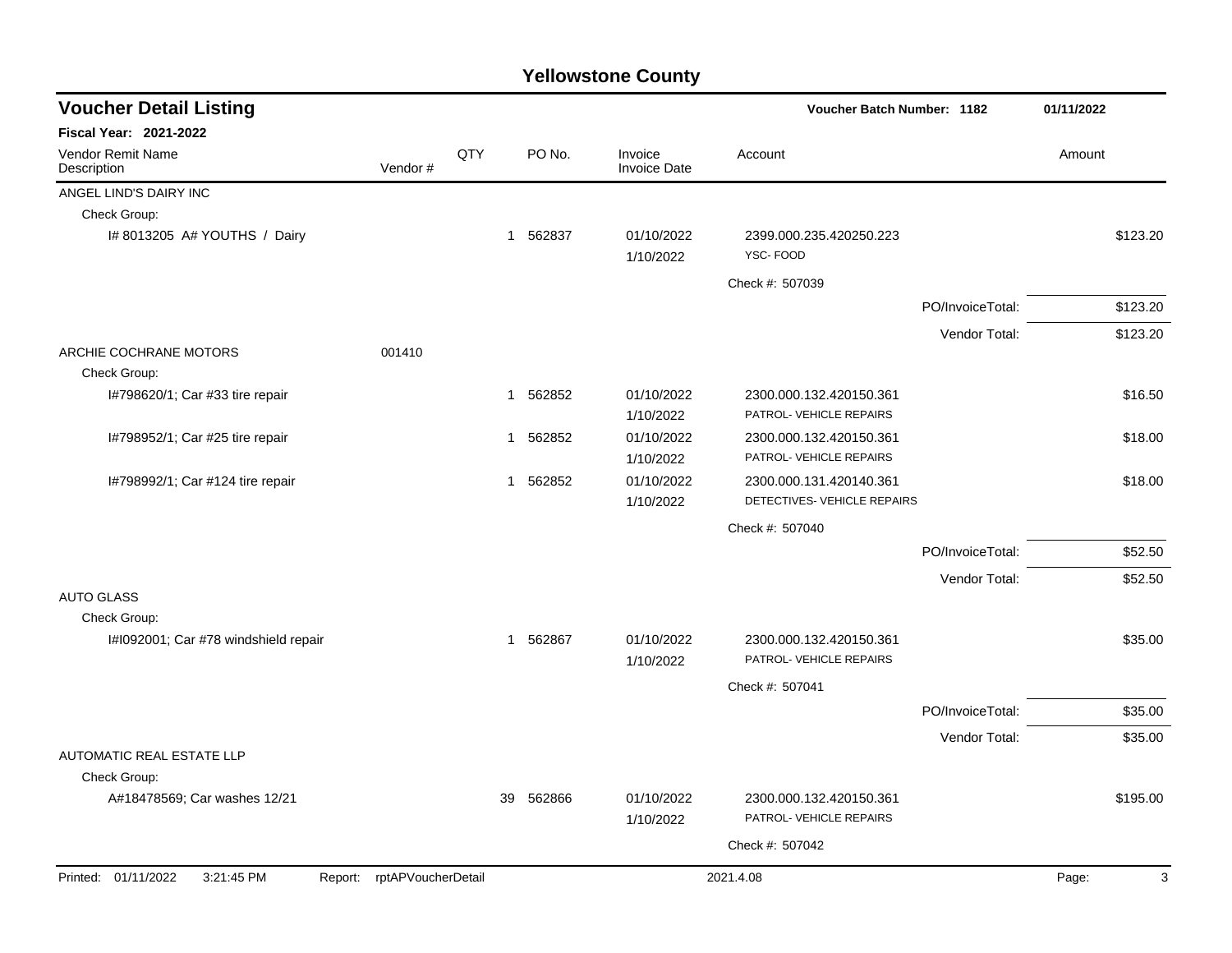| <b>Voucher Detail Listing</b>                    |                            |     |             |                                | Voucher Batch Number: 1182                             |                  | 01/11/2022 |
|--------------------------------------------------|----------------------------|-----|-------------|--------------------------------|--------------------------------------------------------|------------------|------------|
| Fiscal Year: 2021-2022                           |                            |     |             |                                |                                                        |                  |            |
| <b>Vendor Remit Name</b><br>Description          | Vendor#                    | QTY | PO No.      | Invoice<br><b>Invoice Date</b> | Account                                                |                  | Amount     |
| ANGEL LIND'S DAIRY INC                           |                            |     |             |                                |                                                        |                  |            |
| Check Group:                                     |                            |     |             |                                |                                                        |                  |            |
| I# 8013205 A# YOUTHS / Dairy                     |                            |     | 1 562837    | 01/10/2022<br>1/10/2022        | 2399.000.235.420250.223<br>YSC-FOOD                    |                  | \$123.20   |
|                                                  |                            |     |             |                                | Check #: 507039                                        |                  |            |
|                                                  |                            |     |             |                                |                                                        | PO/InvoiceTotal: | \$123.20   |
|                                                  |                            |     |             |                                |                                                        | Vendor Total:    | \$123.20   |
| ARCHIE COCHRANE MOTORS                           | 001410                     |     |             |                                |                                                        |                  |            |
| Check Group:                                     |                            |     |             |                                |                                                        |                  |            |
| I#798620/1; Car #33 tire repair                  |                            |     | 1 562852    | 01/10/2022<br>1/10/2022        | 2300.000.132.420150.361<br>PATROL- VEHICLE REPAIRS     |                  | \$16.50    |
| I#798952/1; Car #25 tire repair                  |                            |     | 562852<br>1 | 01/10/2022<br>1/10/2022        | 2300.000.132.420150.361<br>PATROL- VEHICLE REPAIRS     |                  | \$18.00    |
| I#798992/1; Car #124 tire repair                 |                            |     | 1 562852    | 01/10/2022<br>1/10/2022        | 2300.000.131.420140.361<br>DETECTIVES- VEHICLE REPAIRS |                  | \$18.00    |
|                                                  |                            |     |             |                                | Check #: 507040                                        |                  |            |
|                                                  |                            |     |             |                                |                                                        | PO/InvoiceTotal: | \$52.50    |
|                                                  |                            |     |             |                                |                                                        | Vendor Total:    | \$52.50    |
| <b>AUTO GLASS</b><br>Check Group:                |                            |     |             |                                |                                                        |                  |            |
| I#1092001; Car #78 windshield repair             |                            |     | 1 562867    | 01/10/2022<br>1/10/2022        | 2300.000.132.420150.361<br>PATROL- VEHICLE REPAIRS     |                  | \$35.00    |
|                                                  |                            |     |             |                                | Check #: 507041                                        |                  |            |
|                                                  |                            |     |             |                                |                                                        | PO/InvoiceTotal: | \$35.00    |
|                                                  |                            |     |             |                                |                                                        | Vendor Total:    | \$35.00    |
| <b>AUTOMATIC REAL ESTATE LLP</b><br>Check Group: |                            |     |             |                                |                                                        |                  |            |
| A#18478569; Car washes 12/21                     |                            | 39  | 562866      | 01/10/2022<br>1/10/2022        | 2300.000.132.420150.361<br>PATROL- VEHICLE REPAIRS     |                  | \$195.00   |
|                                                  |                            |     |             |                                | Check #: 507042                                        |                  |            |
| Printed: 01/11/2022<br>3:21:45 PM                | Report: rptAPVoucherDetail |     |             |                                | 2021.4.08                                              |                  | Page:<br>3 |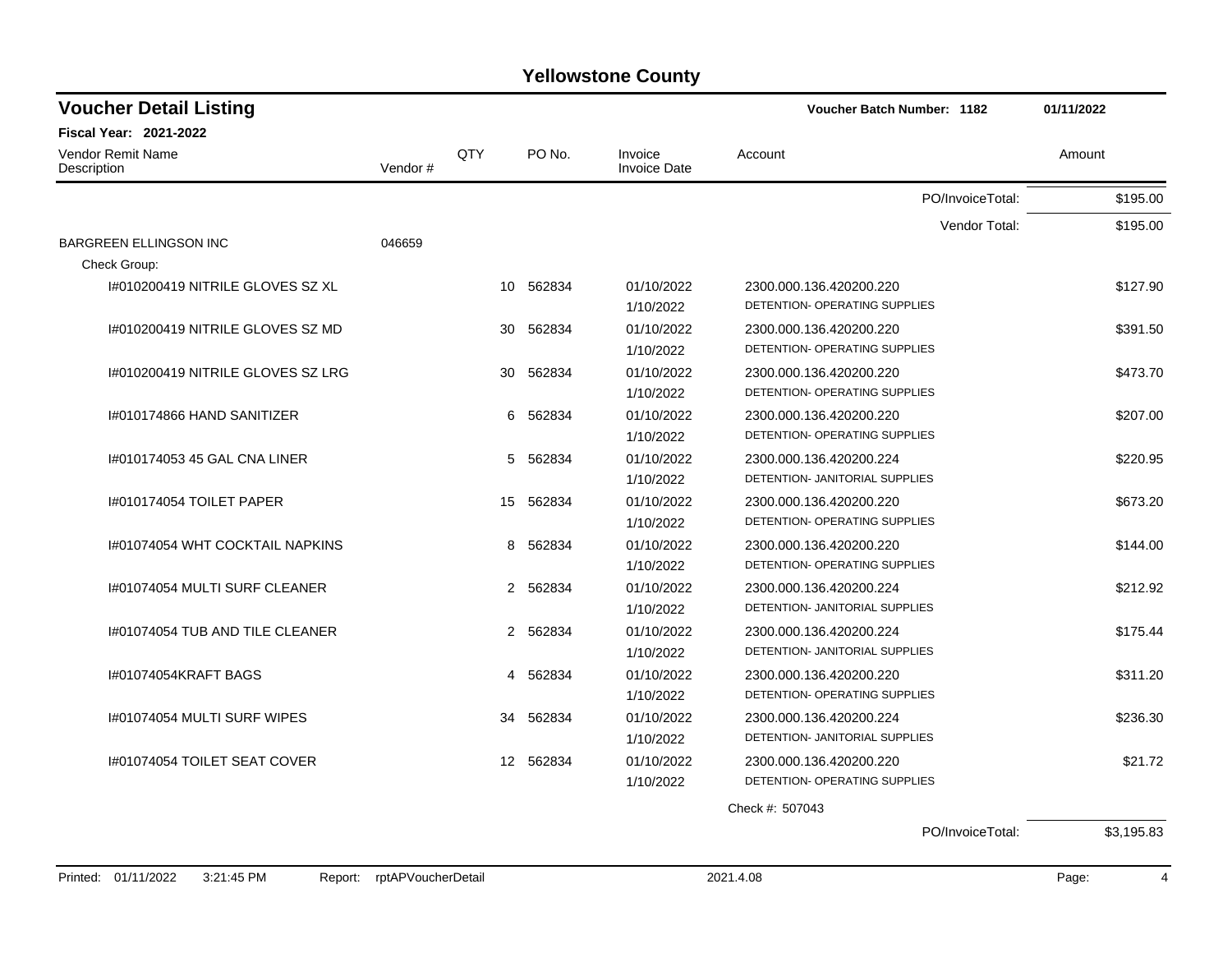| <b>Voucher Detail Listing</b>           |         |                  |          |                                | <b>Voucher Batch Number: 1182</b> | 01/11/2022 |
|-----------------------------------------|---------|------------------|----------|--------------------------------|-----------------------------------|------------|
| <b>Fiscal Year: 2021-2022</b>           |         |                  |          |                                |                                   |            |
| <b>Vendor Remit Name</b><br>Description | Vendor# | <b>QTY</b>       | PO No.   | Invoice<br><b>Invoice Date</b> | Account                           | Amount     |
|                                         |         |                  |          |                                | PO/InvoiceTotal:                  | \$195.00   |
|                                         |         |                  |          |                                | Vendor Total:                     | \$195.00   |
| <b>BARGREEN ELLINGSON INC</b>           | 046659  |                  |          |                                |                                   |            |
| Check Group:                            |         |                  |          |                                |                                   |            |
| 1#010200419 NITRILE GLOVES SZ XL        |         | 10               | 562834   | 01/10/2022                     | 2300.000.136.420200.220           | \$127.90   |
|                                         |         |                  |          | 1/10/2022                      | DETENTION- OPERATING SUPPLIES     |            |
| 1#010200419 NITRILE GLOVES SZ MD        |         | 30               | 562834   | 01/10/2022                     | 2300.000.136.420200.220           | \$391.50   |
|                                         |         |                  |          | 1/10/2022                      | DETENTION- OPERATING SUPPLIES     |            |
| 1#010200419 NITRILE GLOVES SZ LRG       |         | 30               | 562834   | 01/10/2022                     | 2300.000.136.420200.220           | \$473.70   |
|                                         |         |                  |          | 1/10/2022                      | DETENTION- OPERATING SUPPLIES     |            |
| 1#010174866 HAND SANITIZER              |         | 6                | 562834   | 01/10/2022                     | 2300.000.136.420200.220           | \$207.00   |
|                                         |         |                  |          | 1/10/2022                      | DETENTION- OPERATING SUPPLIES     |            |
| 1#010174053 45 GAL CNA LINER            |         | 5                | 562834   | 01/10/2022                     | 2300.000.136.420200.224           | \$220.95   |
|                                         |         |                  |          | 1/10/2022                      | DETENTION- JANITORIAL SUPPLIES    |            |
| 1#010174054 TOILET PAPER                |         | 15               | 562834   | 01/10/2022                     | 2300.000.136.420200.220           | \$673.20   |
|                                         |         |                  |          | 1/10/2022                      | DETENTION- OPERATING SUPPLIES     |            |
| 1#01074054 WHT COCKTAIL NAPKINS         |         | 8                | 562834   | 01/10/2022                     | 2300.000.136.420200.220           | \$144.00   |
|                                         |         |                  |          | 1/10/2022                      | DETENTION- OPERATING SUPPLIES     |            |
| 1#01074054 MULTI SURF CLEANER           |         |                  | 2 562834 | 01/10/2022                     | 2300.000.136.420200.224           | \$212.92   |
|                                         |         |                  |          | 1/10/2022                      | DETENTION- JANITORIAL SUPPLIES    |            |
| 1#01074054 TUB AND TILE CLEANER         |         |                  | 2 562834 | 01/10/2022                     | 2300.000.136.420200.224           | \$175.44   |
|                                         |         |                  |          | 1/10/2022                      | DETENTION- JANITORIAL SUPPLIES    |            |
| 1#01074054KRAFT BAGS                    |         |                  | 4 562834 | 01/10/2022                     | 2300.000.136.420200.220           | \$311.20   |
|                                         |         |                  |          | 1/10/2022                      | DETENTION- OPERATING SUPPLIES     |            |
| 1#01074054 MULTI SURF WIPES             |         | 34               | 562834   | 01/10/2022                     | 2300.000.136.420200.224           | \$236.30   |
|                                         |         |                  |          | 1/10/2022                      | DETENTION- JANITORIAL SUPPLIES    |            |
| 1#01074054 TOILET SEAT COVER            |         | 12 <sup>12</sup> | 562834   | 01/10/2022                     | 2300.000.136.420200.220           | \$21.72    |
|                                         |         |                  |          | 1/10/2022                      | DETENTION- OPERATING SUPPLIES     |            |
|                                         |         |                  |          |                                |                                   |            |
|                                         |         |                  |          |                                | Check #: 507043                   |            |
|                                         |         |                  |          |                                | PO/InvoiceTotal:                  | \$3,195.83 |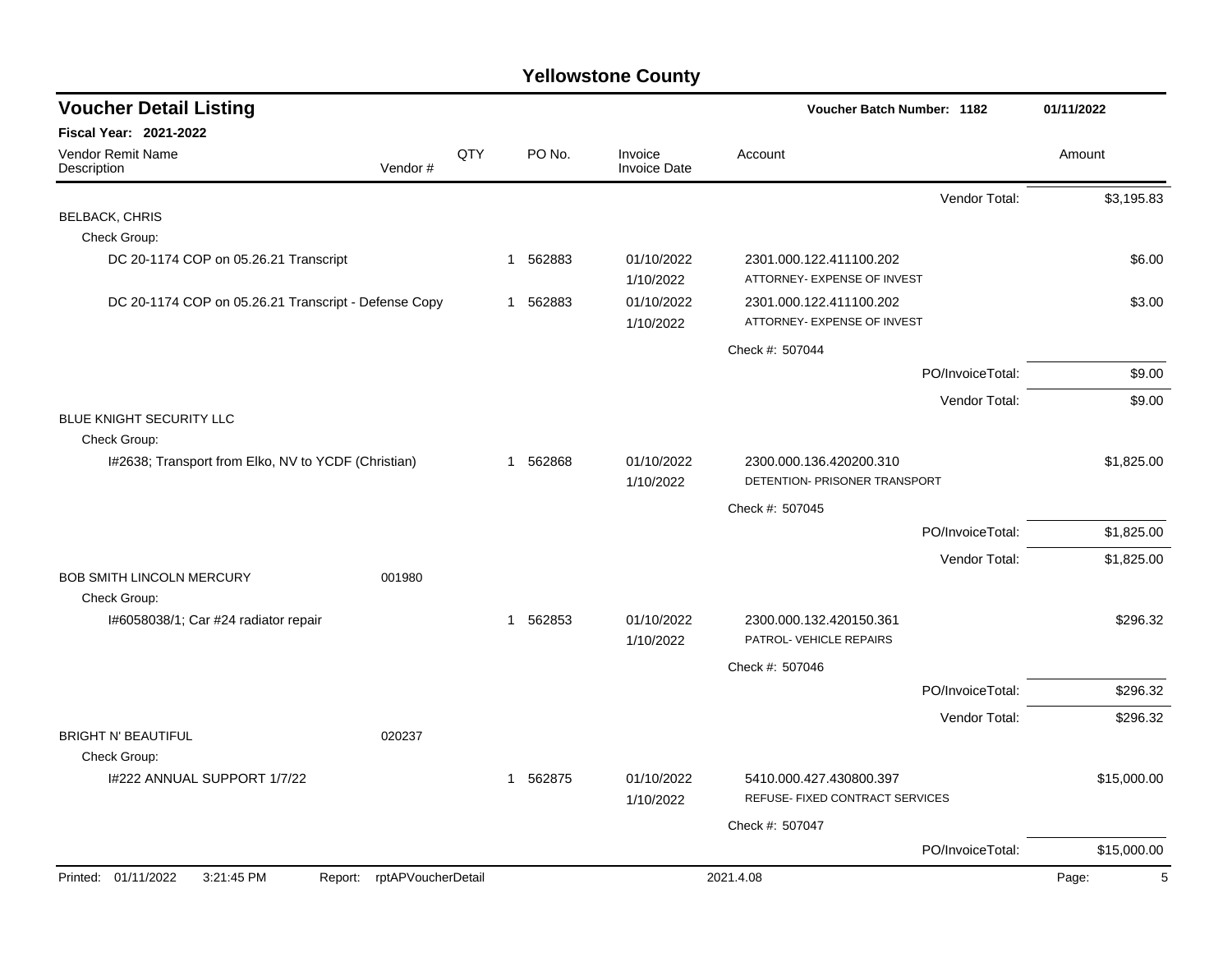| <b>Voucher Detail Listing</b>                        |                            |     |                       |                                | Voucher Batch Number: 1182                                 |                  | 01/11/2022  |
|------------------------------------------------------|----------------------------|-----|-----------------------|--------------------------------|------------------------------------------------------------|------------------|-------------|
| <b>Fiscal Year: 2021-2022</b>                        |                            |     |                       |                                |                                                            |                  |             |
| <b>Vendor Remit Name</b><br>Description              | Vendor#                    | QTY | PO No.                | Invoice<br><b>Invoice Date</b> | Account                                                    |                  | Amount      |
|                                                      |                            |     |                       |                                |                                                            | Vendor Total:    | \$3,195.83  |
| <b>BELBACK, CHRIS</b>                                |                            |     |                       |                                |                                                            |                  |             |
| Check Group:                                         |                            |     |                       |                                |                                                            |                  |             |
| DC 20-1174 COP on 05.26.21 Transcript                |                            |     | 1 562883              | 01/10/2022<br>1/10/2022        | 2301.000.122.411100.202<br>ATTORNEY- EXPENSE OF INVEST     |                  | \$6.00      |
| DC 20-1174 COP on 05.26.21 Transcript - Defense Copy |                            |     | 1 562883              | 01/10/2022<br>1/10/2022        | 2301.000.122.411100.202<br>ATTORNEY- EXPENSE OF INVEST     |                  | \$3.00      |
|                                                      |                            |     |                       |                                | Check #: 507044                                            |                  |             |
|                                                      |                            |     |                       |                                |                                                            | PO/InvoiceTotal: | \$9.00      |
|                                                      |                            |     |                       |                                |                                                            | Vendor Total:    | \$9.00      |
| BLUE KNIGHT SECURITY LLC                             |                            |     |                       |                                |                                                            |                  |             |
| Check Group:                                         |                            |     |                       |                                |                                                            |                  |             |
| I#2638; Transport from Elko, NV to YCDF (Christian)  |                            |     | 1 562868              | 01/10/2022<br>1/10/2022        | 2300.000.136.420200.310<br>DETENTION- PRISONER TRANSPORT   |                  | \$1,825.00  |
|                                                      |                            |     |                       |                                | Check #: 507045                                            |                  |             |
|                                                      |                            |     |                       |                                |                                                            | PO/InvoiceTotal: | \$1,825.00  |
|                                                      |                            |     |                       |                                |                                                            | Vendor Total:    | \$1,825.00  |
| <b>BOB SMITH LINCOLN MERCURY</b><br>Check Group:     | 001980                     |     |                       |                                |                                                            |                  |             |
| I#6058038/1; Car #24 radiator repair                 |                            |     | 1 562853              | 01/10/2022<br>1/10/2022        | 2300.000.132.420150.361<br>PATROL- VEHICLE REPAIRS         |                  | \$296.32    |
|                                                      |                            |     |                       |                                | Check #: 507046                                            |                  |             |
|                                                      |                            |     |                       |                                |                                                            | PO/InvoiceTotal: | \$296.32    |
|                                                      |                            |     |                       |                                |                                                            | Vendor Total:    | \$296.32    |
| <b>BRIGHT N' BEAUTIFUL</b>                           | 020237                     |     |                       |                                |                                                            |                  |             |
| Check Group:                                         |                            |     |                       |                                |                                                            |                  |             |
| I#222 ANNUAL SUPPORT 1/7/22                          |                            |     | 562875<br>$\mathbf 1$ | 01/10/2022<br>1/10/2022        | 5410.000.427.430800.397<br>REFUSE- FIXED CONTRACT SERVICES |                  | \$15,000.00 |
|                                                      |                            |     |                       |                                | Check #: 507047                                            |                  |             |
|                                                      |                            |     |                       |                                |                                                            | PO/InvoiceTotal: | \$15,000.00 |
| Printed: 01/11/2022<br>3:21:45 PM                    | Report: rptAPVoucherDetail |     |                       |                                | 2021.4.08                                                  |                  | 5<br>Page:  |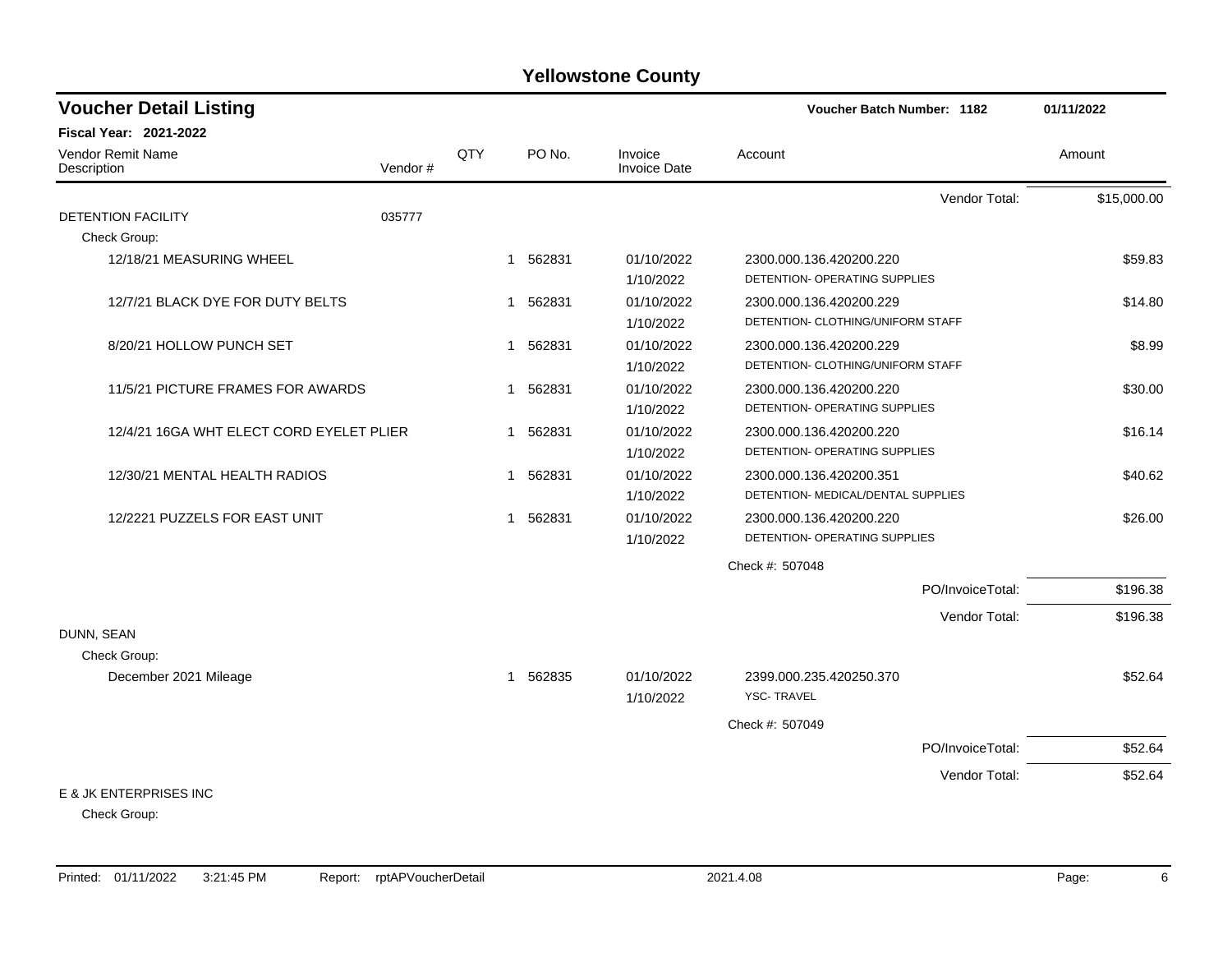| <b>Voucher Detail Listing</b>            |         |              |          | <b>Voucher Batch Number: 1182</b> |                                    | 01/11/2022       |             |
|------------------------------------------|---------|--------------|----------|-----------------------------------|------------------------------------|------------------|-------------|
| <b>Fiscal Year: 2021-2022</b>            |         |              |          |                                   |                                    |                  |             |
| Vendor Remit Name<br>Description         | Vendor# | QTY          | PO No.   | Invoice<br>Invoice Date           | Account                            |                  | Amount      |
|                                          |         |              |          |                                   |                                    | Vendor Total:    | \$15,000.00 |
| <b>DETENTION FACILITY</b>                | 035777  |              |          |                                   |                                    |                  |             |
| Check Group:                             |         |              |          |                                   |                                    |                  |             |
| 12/18/21 MEASURING WHEEL                 |         | $\mathbf{1}$ | 562831   | 01/10/2022                        | 2300.000.136.420200.220            |                  | \$59.83     |
|                                          |         |              |          | 1/10/2022                         | DETENTION- OPERATING SUPPLIES      |                  |             |
| 12/7/21 BLACK DYE FOR DUTY BELTS         |         | $\mathbf 1$  | 562831   | 01/10/2022                        | 2300.000.136.420200.229            |                  | \$14.80     |
|                                          |         |              |          | 1/10/2022                         | DETENTION- CLOTHING/UNIFORM STAFF  |                  |             |
| 8/20/21 HOLLOW PUNCH SET                 |         | 1            | 562831   | 01/10/2022                        | 2300.000.136.420200.229            |                  | \$8.99      |
|                                          |         |              |          | 1/10/2022                         | DETENTION- CLOTHING/UNIFORM STAFF  |                  |             |
| 11/5/21 PICTURE FRAMES FOR AWARDS        |         |              | 1 562831 | 01/10/2022                        | 2300.000.136.420200.220            |                  | \$30.00     |
|                                          |         |              |          | 1/10/2022                         | DETENTION- OPERATING SUPPLIES      |                  |             |
| 12/4/21 16GA WHT ELECT CORD EYELET PLIER |         |              | 1 562831 | 01/10/2022                        | 2300.000.136.420200.220            |                  | \$16.14     |
|                                          |         |              |          | 1/10/2022                         | DETENTION- OPERATING SUPPLIES      |                  |             |
| 12/30/21 MENTAL HEALTH RADIOS            |         | -1           | 562831   | 01/10/2022                        | 2300.000.136.420200.351            |                  | \$40.62     |
|                                          |         |              |          | 1/10/2022                         | DETENTION- MEDICAL/DENTAL SUPPLIES |                  |             |
| 12/2221 PUZZELS FOR EAST UNIT            |         |              | 1 562831 | 01/10/2022                        | 2300.000.136.420200.220            |                  | \$26.00     |
|                                          |         |              |          | 1/10/2022                         | DETENTION- OPERATING SUPPLIES      |                  |             |
|                                          |         |              |          |                                   | Check #: 507048                    |                  |             |
|                                          |         |              |          |                                   |                                    | PO/InvoiceTotal: | \$196.38    |
|                                          |         |              |          |                                   |                                    | Vendor Total:    | \$196.38    |
| DUNN, SEAN                               |         |              |          |                                   |                                    |                  |             |
| Check Group:                             |         |              |          |                                   |                                    |                  |             |
| December 2021 Mileage                    |         |              | 1 562835 | 01/10/2022                        | 2399.000.235.420250.370            |                  | \$52.64     |
|                                          |         |              |          | 1/10/2022                         | <b>YSC-TRAVEL</b>                  |                  |             |
|                                          |         |              |          |                                   | Check #: 507049                    |                  |             |
|                                          |         |              |          |                                   |                                    | PO/InvoiceTotal: | \$52.64     |
|                                          |         |              |          |                                   |                                    | Vendor Total:    | \$52.64     |
| E & JK ENTERPRISES INC                   |         |              |          |                                   |                                    |                  |             |

Check Group: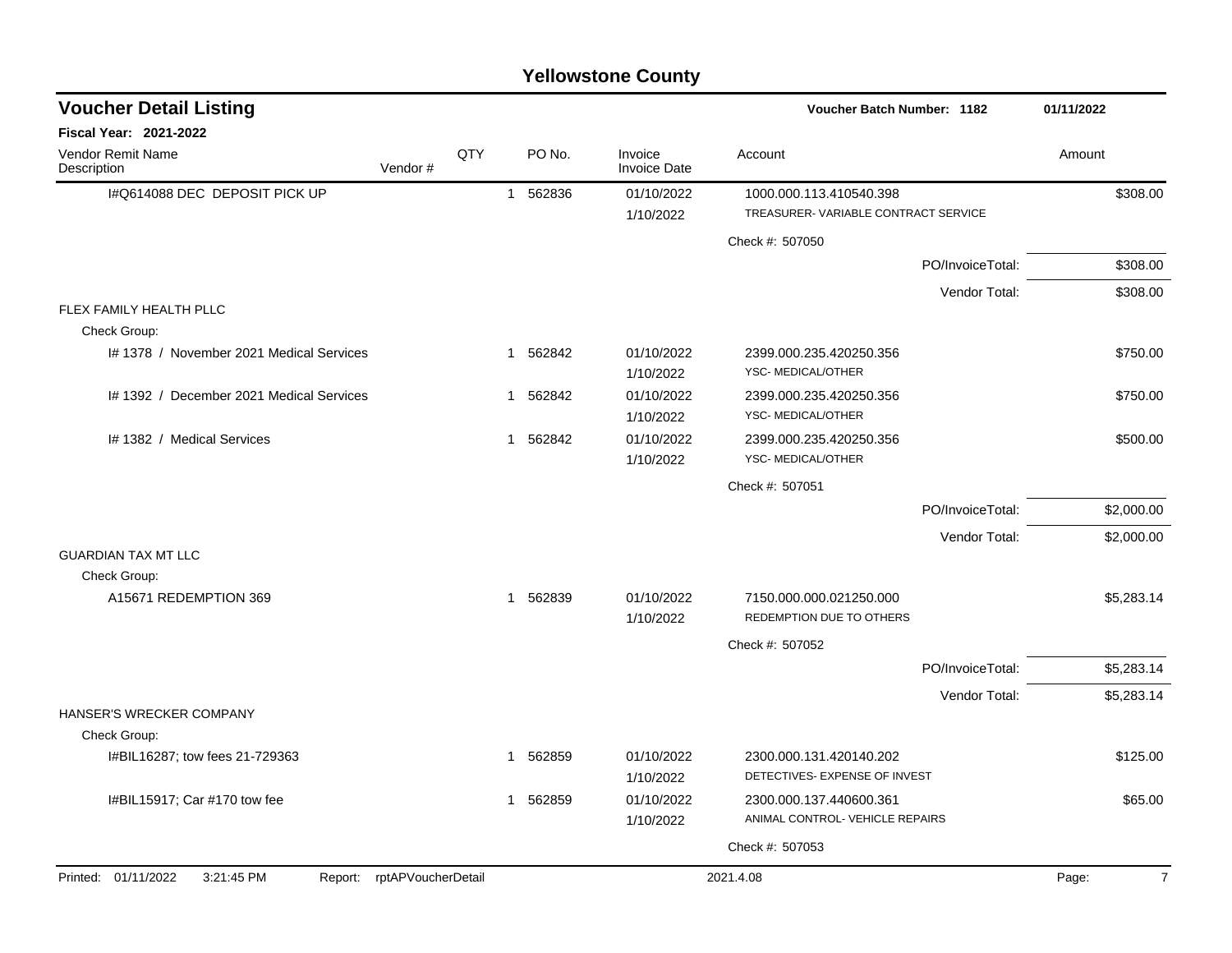|                                              |                    |     |             | <b>Yellowstone County</b>      |                                              |                  |                         |
|----------------------------------------------|--------------------|-----|-------------|--------------------------------|----------------------------------------------|------------------|-------------------------|
| <b>Voucher Detail Listing</b>                |                    |     |             |                                | Voucher Batch Number: 1182                   |                  | 01/11/2022              |
| Fiscal Year: 2021-2022                       |                    |     |             |                                |                                              |                  |                         |
| Vendor Remit Name<br>Description             | Vendor#            | QTY | PO No.      | Invoice<br><b>Invoice Date</b> | Account                                      |                  | Amount                  |
| I#Q614088 DEC DEPOSIT PICK UP                |                    |     | 562836<br>1 | 01/10/2022                     | 1000.000.113.410540.398                      |                  | \$308.00                |
|                                              |                    |     |             | 1/10/2022                      | TREASURER-VARIABLE CONTRACT SERVICE          |                  |                         |
|                                              |                    |     |             |                                | Check #: 507050                              |                  |                         |
|                                              |                    |     |             |                                |                                              | PO/InvoiceTotal: | \$308.00                |
|                                              |                    |     |             |                                |                                              | Vendor Total:    | \$308.00                |
| FLEX FAMILY HEALTH PLLC<br>Check Group:      |                    |     |             |                                |                                              |                  |                         |
| I# 1378 / November 2021 Medical Services     |                    |     | 1 562842    | 01/10/2022                     | 2399.000.235.420250.356                      |                  | \$750.00                |
|                                              |                    |     |             | 1/10/2022                      | YSC-MEDICAL/OTHER                            |                  |                         |
| I# 1392 / December 2021 Medical Services     |                    |     | 562842<br>1 | 01/10/2022                     | 2399.000.235.420250.356                      |                  | \$750.00                |
|                                              |                    |     |             | 1/10/2022                      | YSC-MEDICAL/OTHER                            |                  |                         |
| I# 1382 / Medical Services                   |                    |     | 1 562842    | 01/10/2022<br>1/10/2022        | 2399.000.235.420250.356<br>YSC-MEDICAL/OTHER |                  | \$500.00                |
|                                              |                    |     |             |                                | Check #: 507051                              |                  |                         |
|                                              |                    |     |             |                                |                                              | PO/InvoiceTotal: | \$2,000.00              |
|                                              |                    |     |             |                                |                                              | Vendor Total:    | \$2,000.00              |
| <b>GUARDIAN TAX MT LLC</b>                   |                    |     |             |                                |                                              |                  |                         |
| Check Group:                                 |                    |     |             |                                |                                              |                  |                         |
| A15671 REDEMPTION 369                        |                    |     | 1 562839    | 01/10/2022                     | 7150.000.000.021250.000                      |                  | \$5,283.14              |
|                                              |                    |     |             | 1/10/2022                      | REDEMPTION DUE TO OTHERS                     |                  |                         |
|                                              |                    |     |             |                                | Check #: 507052                              |                  |                         |
|                                              |                    |     |             |                                |                                              | PO/InvoiceTotal: | \$5,283.14              |
| HANSER'S WRECKER COMPANY                     |                    |     |             |                                |                                              | Vendor Total:    | \$5,283.14              |
| Check Group:                                 |                    |     |             |                                |                                              |                  |                         |
| I#BIL16287; tow fees 21-729363               |                    |     | 1 562859    | 01/10/2022                     | 2300.000.131.420140.202                      |                  | \$125.00                |
|                                              |                    |     |             | 1/10/2022                      | DETECTIVES- EXPENSE OF INVEST                |                  |                         |
| I#BIL15917; Car #170 tow fee                 |                    |     | 1 562859    | 01/10/2022                     | 2300.000.137.440600.361                      |                  | \$65.00                 |
|                                              |                    |     |             | 1/10/2022                      | ANIMAL CONTROL- VEHICLE REPAIRS              |                  |                         |
|                                              |                    |     |             |                                | Check #: 507053                              |                  |                         |
| Printed: 01/11/2022<br>3:21:45 PM<br>Report: | rptAPVoucherDetail |     |             |                                | 2021.4.08                                    |                  | Page:<br>$\overline{7}$ |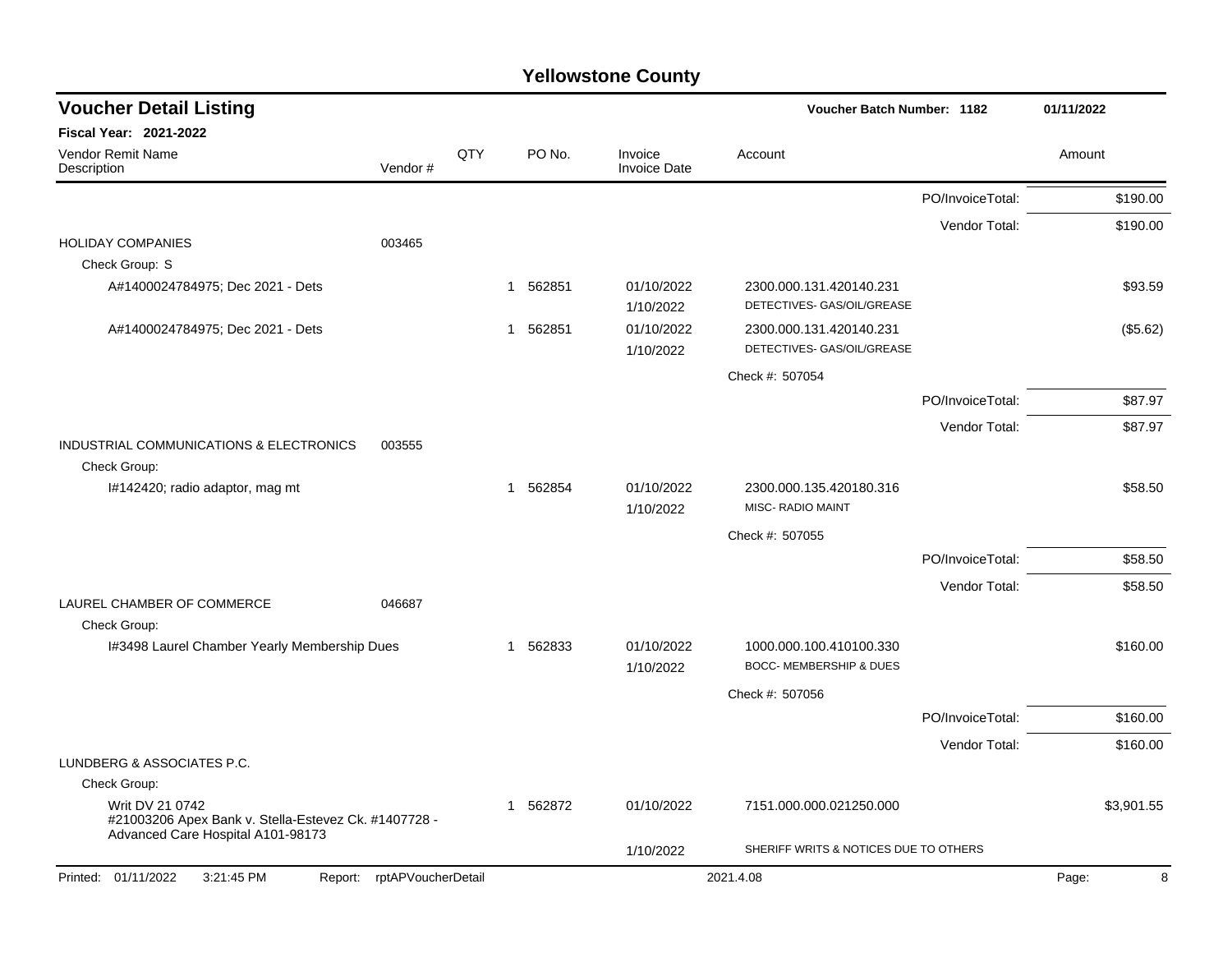| <b>Voucher Detail Listing</b>                                                                                |  |     |                        |                                | <b>Voucher Batch Number: 1182</b>                     |                  | 01/11/2022       |
|--------------------------------------------------------------------------------------------------------------|--|-----|------------------------|--------------------------------|-------------------------------------------------------|------------------|------------------|
| <b>Fiscal Year: 2021-2022</b>                                                                                |  |     |                        |                                |                                                       |                  |                  |
| <b>Vendor Remit Name</b><br>Vendor#<br>Description                                                           |  | QTY | PO No.                 | Invoice<br><b>Invoice Date</b> | Account                                               |                  | Amount           |
|                                                                                                              |  |     |                        |                                |                                                       | PO/InvoiceTotal: | \$190.00         |
|                                                                                                              |  |     |                        |                                |                                                       | Vendor Total:    | \$190.00         |
| <b>HOLIDAY COMPANIES</b><br>003465<br>Check Group: S                                                         |  |     |                        |                                |                                                       |                  |                  |
| A#1400024784975; Dec 2021 - Dets                                                                             |  | 1   | 562851                 | 01/10/2022<br>1/10/2022        | 2300.000.131.420140.231<br>DETECTIVES- GAS/OIL/GREASE |                  | \$93.59          |
| A#1400024784975; Dec 2021 - Dets                                                                             |  | 1   | 562851                 | 01/10/2022<br>1/10/2022        | 2300.000.131.420140.231<br>DETECTIVES- GAS/OIL/GREASE |                  | (\$5.62)         |
|                                                                                                              |  |     |                        |                                | Check #: 507054                                       |                  |                  |
|                                                                                                              |  |     |                        |                                |                                                       | PO/InvoiceTotal: | \$87.97          |
|                                                                                                              |  |     |                        |                                |                                                       | Vendor Total:    | \$87.97          |
| INDUSTRIAL COMMUNICATIONS & ELECTRONICS<br>003555<br>Check Group:                                            |  |     |                        |                                |                                                       |                  |                  |
| I#142420; radio adaptor, mag mt                                                                              |  |     | 562854<br>$\mathbf{1}$ | 01/10/2022<br>1/10/2022        | 2300.000.135.420180.316<br>MISC- RADIO MAINT          |                  | \$58.50          |
|                                                                                                              |  |     |                        |                                | Check #: 507055                                       |                  |                  |
|                                                                                                              |  |     |                        |                                |                                                       | PO/InvoiceTotal: | \$58.50          |
|                                                                                                              |  |     |                        |                                |                                                       | Vendor Total:    | \$58.50          |
| LAUREL CHAMBER OF COMMERCE<br>046687<br>Check Group:                                                         |  |     |                        |                                |                                                       |                  |                  |
| I#3498 Laurel Chamber Yearly Membership Dues                                                                 |  | 1   | 562833                 | 01/10/2022<br>1/10/2022        | 1000.000.100.410100.330<br>BOCC- MEMBERSHIP & DUES    |                  | \$160.00         |
|                                                                                                              |  |     |                        |                                | Check #: 507056                                       |                  |                  |
|                                                                                                              |  |     |                        |                                |                                                       | PO/InvoiceTotal: | \$160.00         |
|                                                                                                              |  |     |                        |                                |                                                       | Vendor Total:    | \$160.00         |
| LUNDBERG & ASSOCIATES P.C.                                                                                   |  |     |                        |                                |                                                       |                  |                  |
| Check Group:                                                                                                 |  |     |                        |                                |                                                       |                  |                  |
| Writ DV 21 0742<br>#21003206 Apex Bank v. Stella-Estevez Ck. #1407728 -<br>Advanced Care Hospital A101-98173 |  |     | 562872<br>1            | 01/10/2022                     | 7151.000.000.021250.000                               |                  | \$3,901.55       |
|                                                                                                              |  |     |                        | 1/10/2022                      | SHERIFF WRITS & NOTICES DUE TO OTHERS                 |                  |                  |
| 3:21:45 PM<br>Report: rptAPVoucherDetail<br>Printed: 01/11/2022                                              |  |     |                        |                                | 2021.4.08                                             |                  | $\,8\,$<br>Page: |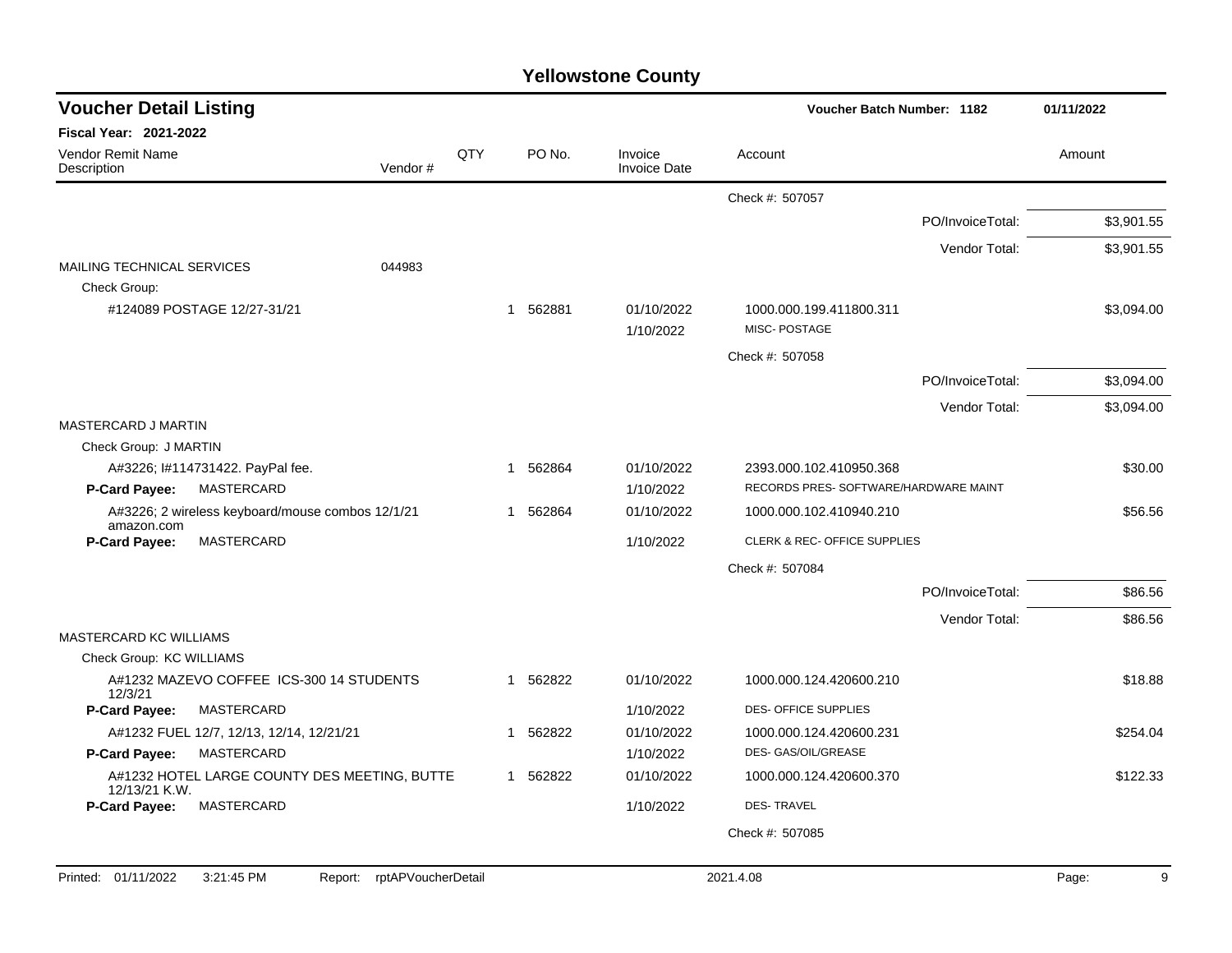| <b>Voucher Detail Listing</b>     |                                                  |         |     |             | 01/11/2022                     |                                         |                  |            |
|-----------------------------------|--------------------------------------------------|---------|-----|-------------|--------------------------------|-----------------------------------------|------------------|------------|
| <b>Fiscal Year: 2021-2022</b>     |                                                  |         |     |             |                                |                                         |                  |            |
| Vendor Remit Name<br>Description  |                                                  | Vendor# | QTY | PO No.      | Invoice<br><b>Invoice Date</b> | Account                                 |                  | Amount     |
|                                   |                                                  |         |     |             |                                | Check #: 507057                         |                  |            |
|                                   |                                                  |         |     |             |                                |                                         | PO/InvoiceTotal: | \$3,901.55 |
|                                   |                                                  |         |     |             |                                |                                         | Vendor Total:    | \$3,901.55 |
| <b>MAILING TECHNICAL SERVICES</b> |                                                  | 044983  |     |             |                                |                                         |                  |            |
| Check Group:                      |                                                  |         |     |             |                                |                                         |                  |            |
|                                   | #124089 POSTAGE 12/27-31/21                      |         |     | 1 562881    | 01/10/2022<br>1/10/2022        | 1000.000.199.411800.311<br>MISC-POSTAGE |                  | \$3,094.00 |
|                                   |                                                  |         |     |             |                                | Check #: 507058                         |                  |            |
|                                   |                                                  |         |     |             |                                |                                         | PO/InvoiceTotal: | \$3,094.00 |
|                                   |                                                  |         |     |             |                                |                                         | Vendor Total:    | \$3,094.00 |
| MASTERCARD J MARTIN               |                                                  |         |     |             |                                |                                         |                  |            |
| Check Group: J MARTIN             |                                                  |         |     |             |                                |                                         |                  |            |
|                                   | A#3226; I#114731422. PayPal fee.                 |         |     | 562864<br>1 | 01/10/2022                     | 2393.000.102.410950.368                 |                  | \$30.00    |
| P-Card Payee:                     | MASTERCARD                                       |         |     |             | 1/10/2022                      | RECORDS PRES- SOFTWARE/HARDWARE MAINT   |                  |            |
| amazon.com                        | A#3226; 2 wireless keyboard/mouse combos 12/1/21 |         |     | 1 562864    | 01/10/2022                     | 1000.000.102.410940.210                 |                  | \$56.56    |
| <b>P-Card Payee:</b>              | MASTERCARD                                       |         |     |             | 1/10/2022                      | CLERK & REC- OFFICE SUPPLIES            |                  |            |
|                                   |                                                  |         |     |             |                                | Check #: 507084                         |                  |            |
|                                   |                                                  |         |     |             |                                |                                         | PO/InvoiceTotal: | \$86.56    |
|                                   |                                                  |         |     |             |                                |                                         | Vendor Total:    | \$86.56    |
| MASTERCARD KC WILLIAMS            |                                                  |         |     |             |                                |                                         |                  |            |
| Check Group: KC WILLIAMS          |                                                  |         |     |             |                                |                                         |                  |            |
| 12/3/21                           | A#1232 MAZEVO COFFEE ICS-300 14 STUDENTS         |         |     | 1 562822    | 01/10/2022                     | 1000.000.124.420600.210                 |                  | \$18.88    |
| P-Card Payee:                     | MASTERCARD                                       |         |     |             | 1/10/2022                      | DES- OFFICE SUPPLIES                    |                  |            |
|                                   | A#1232 FUEL 12/7, 12/13, 12/14, 12/21/21         |         |     | 562822<br>1 | 01/10/2022                     | 1000.000.124.420600.231                 |                  | \$254.04   |
| P-Card Payee:                     | MASTERCARD                                       |         |     |             | 1/10/2022                      | DES- GAS/OIL/GREASE                     |                  |            |
| 12/13/21 K.W.                     | A#1232 HOTEL LARGE COUNTY DES MEETING, BUTTE     |         |     | 1 562822    | 01/10/2022                     | 1000.000.124.420600.370                 |                  | \$122.33   |
| P-Card Payee:                     | MASTERCARD                                       |         |     |             | 1/10/2022                      | <b>DES-TRAVEL</b>                       |                  |            |
|                                   |                                                  |         |     |             |                                | Check #: 507085                         |                  |            |
|                                   |                                                  |         |     |             |                                |                                         |                  |            |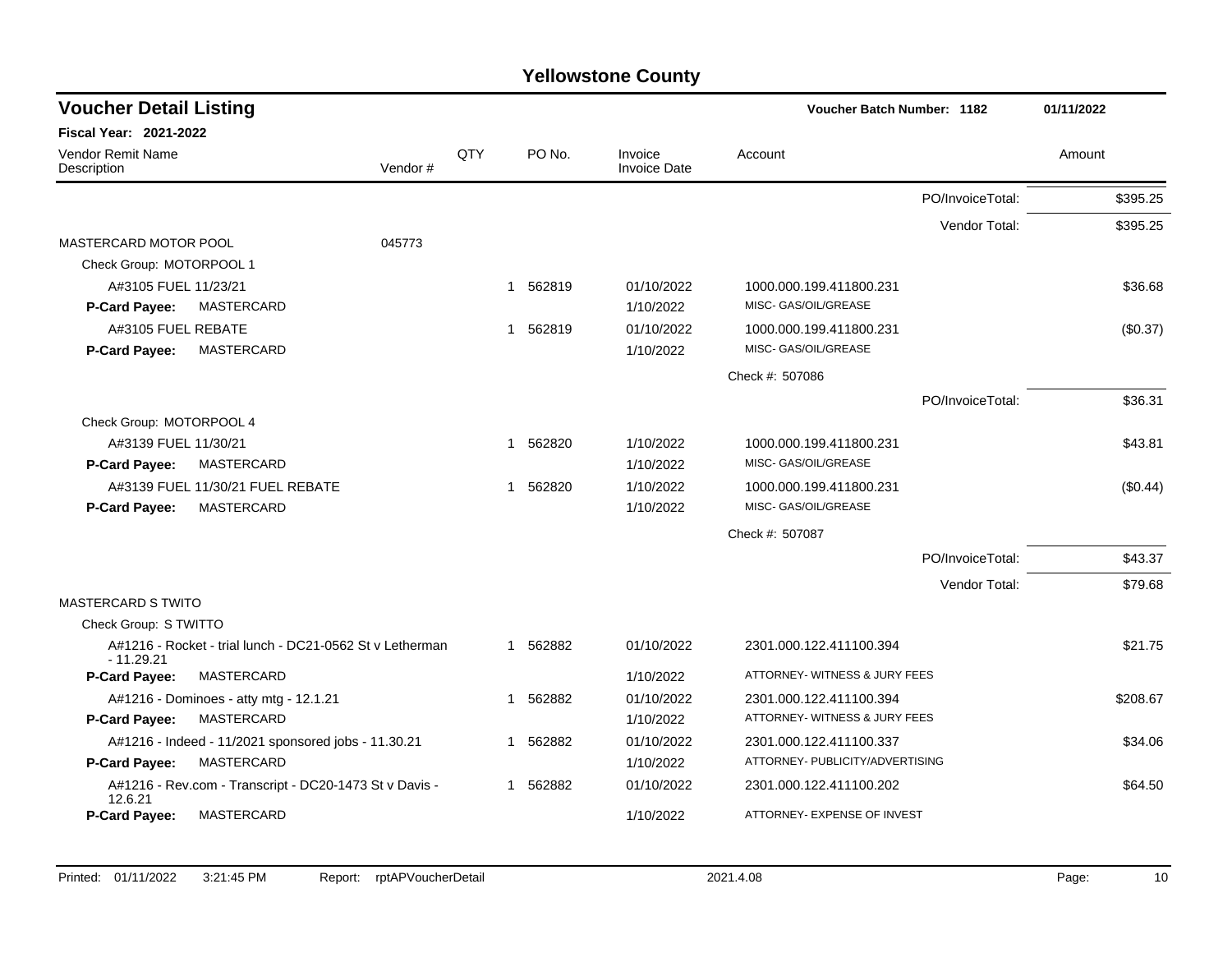| <b>Voucher Detail Listing</b>                                           |     |   |          |                                | Voucher Batch Number: 1182      |                  | 01/11/2022 |
|-------------------------------------------------------------------------|-----|---|----------|--------------------------------|---------------------------------|------------------|------------|
| <b>Fiscal Year: 2021-2022</b>                                           |     |   |          |                                |                                 |                  |            |
| Vendor Remit Name<br>Description<br>Vendor#                             | QTY |   | PO No.   | Invoice<br><b>Invoice Date</b> | Account                         |                  | Amount     |
|                                                                         |     |   |          |                                |                                 | PO/InvoiceTotal: | \$395.25   |
|                                                                         |     |   |          |                                |                                 | Vendor Total:    | \$395.25   |
| MASTERCARD MOTOR POOL<br>045773                                         |     |   |          |                                |                                 |                  |            |
| Check Group: MOTORPOOL 1                                                |     |   |          |                                |                                 |                  |            |
| A#3105 FUEL 11/23/21                                                    |     |   | 1 562819 | 01/10/2022                     | 1000.000.199.411800.231         |                  | \$36.68    |
| P-Card Payee:<br>MASTERCARD                                             |     |   |          | 1/10/2022                      | MISC- GAS/OIL/GREASE            |                  |            |
| A#3105 FUEL REBATE                                                      |     | 1 | 562819   | 01/10/2022                     | 1000.000.199.411800.231         |                  | (\$0.37)   |
| MASTERCARD<br>P-Card Payee:                                             |     |   |          | 1/10/2022                      | MISC- GAS/OIL/GREASE            |                  |            |
|                                                                         |     |   |          |                                | Check #: 507086                 |                  |            |
|                                                                         |     |   |          |                                |                                 | PO/InvoiceTotal: | \$36.31    |
| Check Group: MOTORPOOL 4                                                |     |   |          |                                |                                 |                  |            |
| A#3139 FUEL 11/30/21                                                    |     | 1 | 562820   | 1/10/2022                      | 1000.000.199.411800.231         |                  | \$43.81    |
| MASTERCARD<br>P-Card Payee:                                             |     |   |          | 1/10/2022                      | MISC- GAS/OIL/GREASE            |                  |            |
| A#3139 FUEL 11/30/21 FUEL REBATE                                        |     | 1 | 562820   | 1/10/2022                      | 1000.000.199.411800.231         |                  | $(\$0.44)$ |
| MASTERCARD<br>P-Card Payee:                                             |     |   |          | 1/10/2022                      | MISC- GAS/OIL/GREASE            |                  |            |
|                                                                         |     |   |          |                                | Check #: 507087                 |                  |            |
|                                                                         |     |   |          |                                |                                 | PO/InvoiceTotal: | \$43.37    |
|                                                                         |     |   |          |                                |                                 | Vendor Total:    | \$79.68    |
| <b>MASTERCARD S TWITO</b>                                               |     |   |          |                                |                                 |                  |            |
| Check Group: S TWITTO                                                   |     |   |          |                                |                                 |                  |            |
| A#1216 - Rocket - trial lunch - DC21-0562 St v Letherman<br>$-11.29.21$ |     |   | 1 562882 | 01/10/2022                     | 2301.000.122.411100.394         |                  | \$21.75    |
| P-Card Payee:<br>MASTERCARD                                             |     |   |          | 1/10/2022                      | ATTORNEY- WITNESS & JURY FEES   |                  |            |
| A#1216 - Dominoes - atty mtg - 12.1.21                                  |     | 1 | 562882   | 01/10/2022                     | 2301.000.122.411100.394         |                  | \$208.67   |
| <b>MASTERCARD</b><br><b>P-Card Payee:</b>                               |     |   |          | 1/10/2022                      | ATTORNEY- WITNESS & JURY FEES   |                  |            |
| A#1216 - Indeed - 11/2021 sponsored jobs - 11.30.21                     |     | 1 | 562882   | 01/10/2022                     | 2301.000.122.411100.337         |                  | \$34.06    |
| P-Card Payee:<br>MASTERCARD                                             |     |   |          | 1/10/2022                      | ATTORNEY- PUBLICITY/ADVERTISING |                  |            |
| A#1216 - Rev.com - Transcript - DC20-1473 St v Davis -<br>12.6.21       |     |   | 1 562882 | 01/10/2022                     | 2301.000.122.411100.202         |                  | \$64.50    |
| MASTERCARD<br>P-Card Payee:                                             |     |   |          | 1/10/2022                      | ATTORNEY- EXPENSE OF INVEST     |                  |            |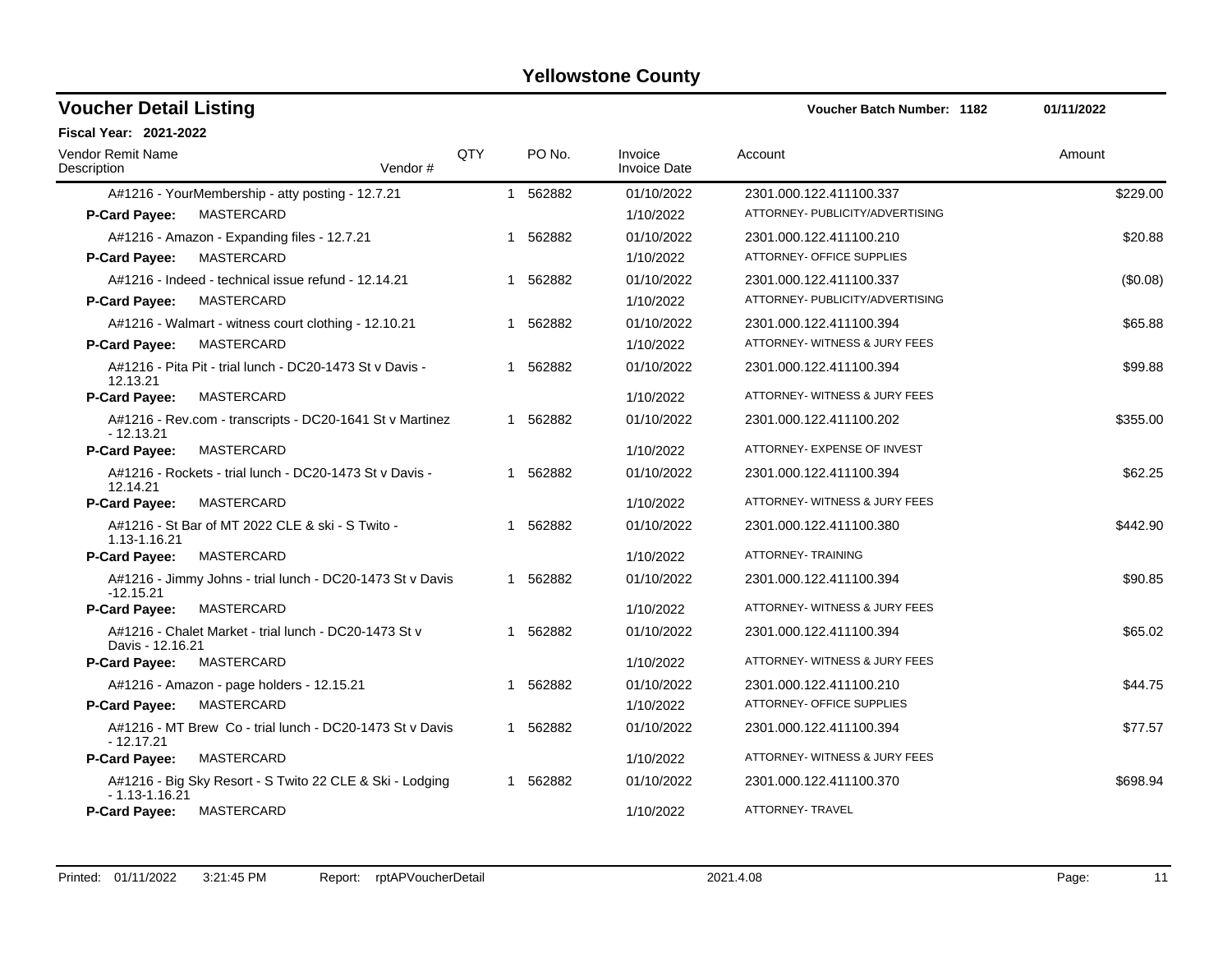| <b>Voucher Detail Listing</b>                                                 |     |          |                                | <b>Voucher Batch Number: 1182</b> | 01/11/2022 |
|-------------------------------------------------------------------------------|-----|----------|--------------------------------|-----------------------------------|------------|
| <b>Fiscal Year: 2021-2022</b>                                                 |     |          |                                |                                   |            |
| Vendor Remit Name<br>Description<br>Vendor#                                   | QTY | PO No.   | Invoice<br><b>Invoice Date</b> | Account                           | Amount     |
| A#1216 - YourMembership - atty posting - 12.7.21                              |     | 1 562882 | 01/10/2022                     | 2301.000.122.411100.337           | \$229.00   |
| MASTERCARD<br><b>P-Card Payee:</b>                                            |     |          | 1/10/2022                      | ATTORNEY- PUBLICITY/ADVERTISING   |            |
| A#1216 - Amazon - Expanding files - 12.7.21                                   |     | 1 562882 | 01/10/2022                     | 2301.000.122.411100.210           | \$20.88    |
| MASTERCARD<br><b>P-Card Payee:</b>                                            |     |          | 1/10/2022                      | ATTORNEY- OFFICE SUPPLIES         |            |
| A#1216 - Indeed - technical issue refund - 12.14.21                           |     | 1 562882 | 01/10/2022                     | 2301.000.122.411100.337           | (\$0.08)   |
| MASTERCARD<br>P-Card Payee:                                                   |     |          | 1/10/2022                      | ATTORNEY- PUBLICITY/ADVERTISING   |            |
| A#1216 - Walmart - witness court clothing - 12.10.21                          |     | 1 562882 | 01/10/2022                     | 2301.000.122.411100.394           | \$65.88    |
| P-Card Payee:<br>MASTERCARD                                                   |     |          | 1/10/2022                      | ATTORNEY- WITNESS & JURY FEES     |            |
| A#1216 - Pita Pit - trial lunch - DC20-1473 St v Davis -<br>12.13.21          |     | 1 562882 | 01/10/2022                     | 2301.000.122.411100.394           | \$99.88    |
| <b>P-Card Payee:</b><br>MASTERCARD                                            |     |          | 1/10/2022                      | ATTORNEY- WITNESS & JURY FEES     |            |
| A#1216 - Rev.com - transcripts - DC20-1641 St v Martinez<br>- 12.13.21        |     | 1 562882 | 01/10/2022                     | 2301.000.122.411100.202           | \$355.00   |
| P-Card Payee:<br>MASTERCARD                                                   |     |          | 1/10/2022                      | ATTORNEY- EXPENSE OF INVEST       |            |
| A#1216 - Rockets - trial lunch - DC20-1473 St v Davis -<br>12.14.21           |     | 1 562882 | 01/10/2022                     | 2301.000.122.411100.394           | \$62.25    |
| <b>P-Card Payee:</b><br>MASTERCARD                                            |     |          | 1/10/2022                      | ATTORNEY- WITNESS & JURY FEES     |            |
| A#1216 - St Bar of MT 2022 CLE & ski - S Twito -<br>1.13-1.16.21              |     | 1 562882 | 01/10/2022                     | 2301.000.122.411100.380           | \$442.90   |
| MASTERCARD<br>P-Card Payee:                                                   |     |          | 1/10/2022                      | ATTORNEY- TRAINING                |            |
| A#1216 - Jimmy Johns - trial lunch - DC20-1473 St v Davis<br>$-12.15.21$      |     | 1 562882 | 01/10/2022                     | 2301.000.122.411100.394           | \$90.85    |
| MASTERCARD<br><b>P-Card Payee:</b>                                            |     |          | 1/10/2022                      | ATTORNEY- WITNESS & JURY FEES     |            |
| A#1216 - Chalet Market - trial lunch - DC20-1473 St v<br>Davis - 12.16.21     |     | 1 562882 | 01/10/2022                     | 2301.000.122.411100.394           | \$65.02    |
| P-Card Payee:<br>MASTERCARD                                                   |     |          | 1/10/2022                      | ATTORNEY- WITNESS & JURY FEES     |            |
| A#1216 - Amazon - page holders - 12.15.21                                     |     | 1 562882 | 01/10/2022                     | 2301.000.122.411100.210           | \$44.75    |
| P-Card Payee:<br>MASTERCARD                                                   |     |          | 1/10/2022                      | ATTORNEY- OFFICE SUPPLIES         |            |
| A#1216 - MT Brew Co - trial lunch - DC20-1473 St v Davis<br>$-12.17.21$       |     | 1 562882 | 01/10/2022                     | 2301.000.122.411100.394           | \$77.57    |
| <b>P-Card Payee:</b><br>MASTERCARD                                            |     |          | 1/10/2022                      | ATTORNEY-WITNESS & JURY FEES      |            |
| A#1216 - Big Sky Resort - S Twito 22 CLE & Ski - Lodging<br>$-1.13 - 1.16.21$ |     | 1 562882 | 01/10/2022                     | 2301.000.122.411100.370           | \$698.94   |
| <b>P-Card Pavee:</b><br>MASTERCARD                                            |     |          | 1/10/2022                      | ATTORNEY- TRAVEL                  |            |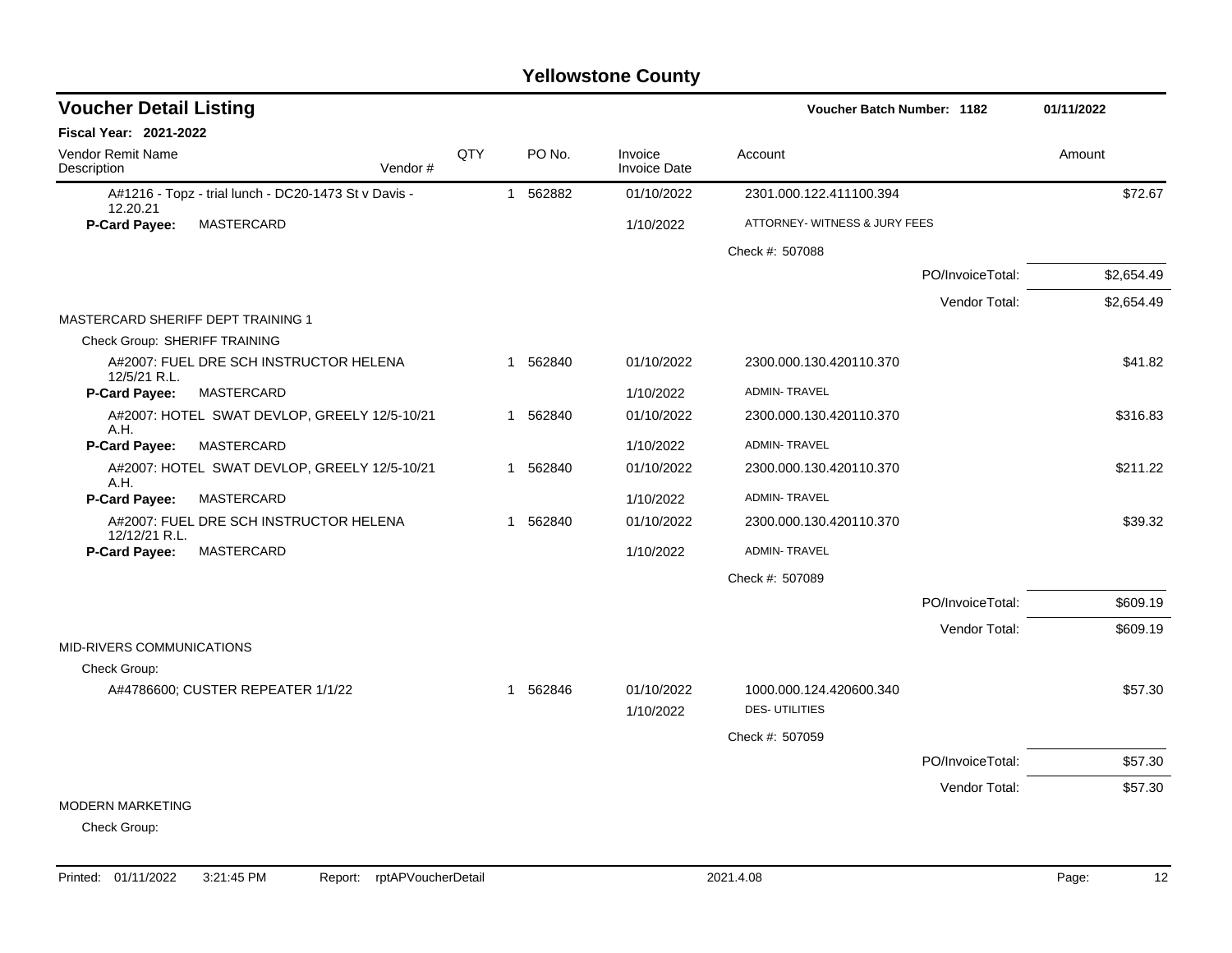| <b>Voucher Detail Listing</b>      |                                                      |     | Voucher Batch Number: 1182 |          |                                |                                                 |                  |            |
|------------------------------------|------------------------------------------------------|-----|----------------------------|----------|--------------------------------|-------------------------------------------------|------------------|------------|
| Fiscal Year: 2021-2022             |                                                      |     |                            |          |                                |                                                 |                  |            |
| Vendor Remit Name<br>Description   | Vendor#                                              | QTY |                            | PO No.   | Invoice<br><b>Invoice Date</b> | Account                                         |                  | Amount     |
| 12.20.21                           | A#1216 - Topz - trial lunch - DC20-1473 St v Davis - |     | $\mathbf{1}$               | 562882   | 01/10/2022                     | 2301.000.122.411100.394                         |                  | \$72.67    |
| P-Card Payee:                      | MASTERCARD                                           |     |                            |          | 1/10/2022                      | ATTORNEY- WITNESS & JURY FEES                   |                  |            |
|                                    |                                                      |     |                            |          |                                | Check #: 507088                                 |                  |            |
|                                    |                                                      |     |                            |          |                                |                                                 | PO/InvoiceTotal: | \$2,654.49 |
|                                    |                                                      |     |                            |          |                                |                                                 | Vendor Total:    | \$2,654.49 |
| MASTERCARD SHERIFF DEPT TRAINING 1 |                                                      |     |                            |          |                                |                                                 |                  |            |
| Check Group: SHERIFF TRAINING      |                                                      |     |                            |          |                                |                                                 |                  |            |
| 12/5/21 R.L.                       | A#2007: FUEL DRE SCH INSTRUCTOR HELENA               |     |                            | 1 562840 | 01/10/2022                     | 2300.000.130.420110.370                         |                  | \$41.82    |
| P-Card Payee:                      | MASTERCARD                                           |     |                            |          | 1/10/2022                      | <b>ADMIN-TRAVEL</b>                             |                  |            |
| A.H.                               | A#2007: HOTEL SWAT DEVLOP, GREELY 12/5-10/21         |     |                            | 1 562840 | 01/10/2022                     | 2300.000.130.420110.370                         |                  | \$316.83   |
| P-Card Payee:                      | MASTERCARD                                           |     |                            |          | 1/10/2022                      | <b>ADMIN-TRAVEL</b>                             |                  |            |
| A.H.                               | A#2007: HOTEL SWAT DEVLOP, GREELY 12/5-10/21         |     |                            | 1 562840 | 01/10/2022                     | 2300.000.130.420110.370                         |                  | \$211.22   |
| P-Card Payee:                      | MASTERCARD                                           |     |                            |          | 1/10/2022                      | <b>ADMIN-TRAVEL</b>                             |                  |            |
| 12/12/21 R.L.                      | A#2007: FUEL DRE SCH INSTRUCTOR HELENA               |     | $\overline{1}$             | 562840   | 01/10/2022                     | 2300.000.130.420110.370                         |                  | \$39.32    |
| P-Card Payee:                      | MASTERCARD                                           |     |                            |          | 1/10/2022                      | <b>ADMIN-TRAVEL</b>                             |                  |            |
|                                    |                                                      |     |                            |          |                                | Check #: 507089                                 |                  |            |
|                                    |                                                      |     |                            |          |                                |                                                 | PO/InvoiceTotal: | \$609.19   |
|                                    |                                                      |     |                            |          |                                |                                                 | Vendor Total:    | \$609.19   |
| <b>MID-RIVERS COMMUNICATIONS</b>   |                                                      |     |                            |          |                                |                                                 |                  |            |
| Check Group:                       |                                                      |     |                            |          |                                |                                                 |                  |            |
|                                    | A#4786600; CUSTER REPEATER 1/1/22                    |     |                            | 1 562846 | 01/10/2022<br>1/10/2022        | 1000.000.124.420600.340<br><b>DES-UTILITIES</b> |                  | \$57.30    |
|                                    |                                                      |     |                            |          |                                | Check #: 507059                                 |                  |            |
|                                    |                                                      |     |                            |          |                                |                                                 | PO/InvoiceTotal: | \$57.30    |
|                                    |                                                      |     |                            |          |                                |                                                 | Vendor Total:    | \$57.30    |
| <b>MODERN MARKETING</b>            |                                                      |     |                            |          |                                |                                                 |                  |            |
| Check Group:                       |                                                      |     |                            |          |                                |                                                 |                  |            |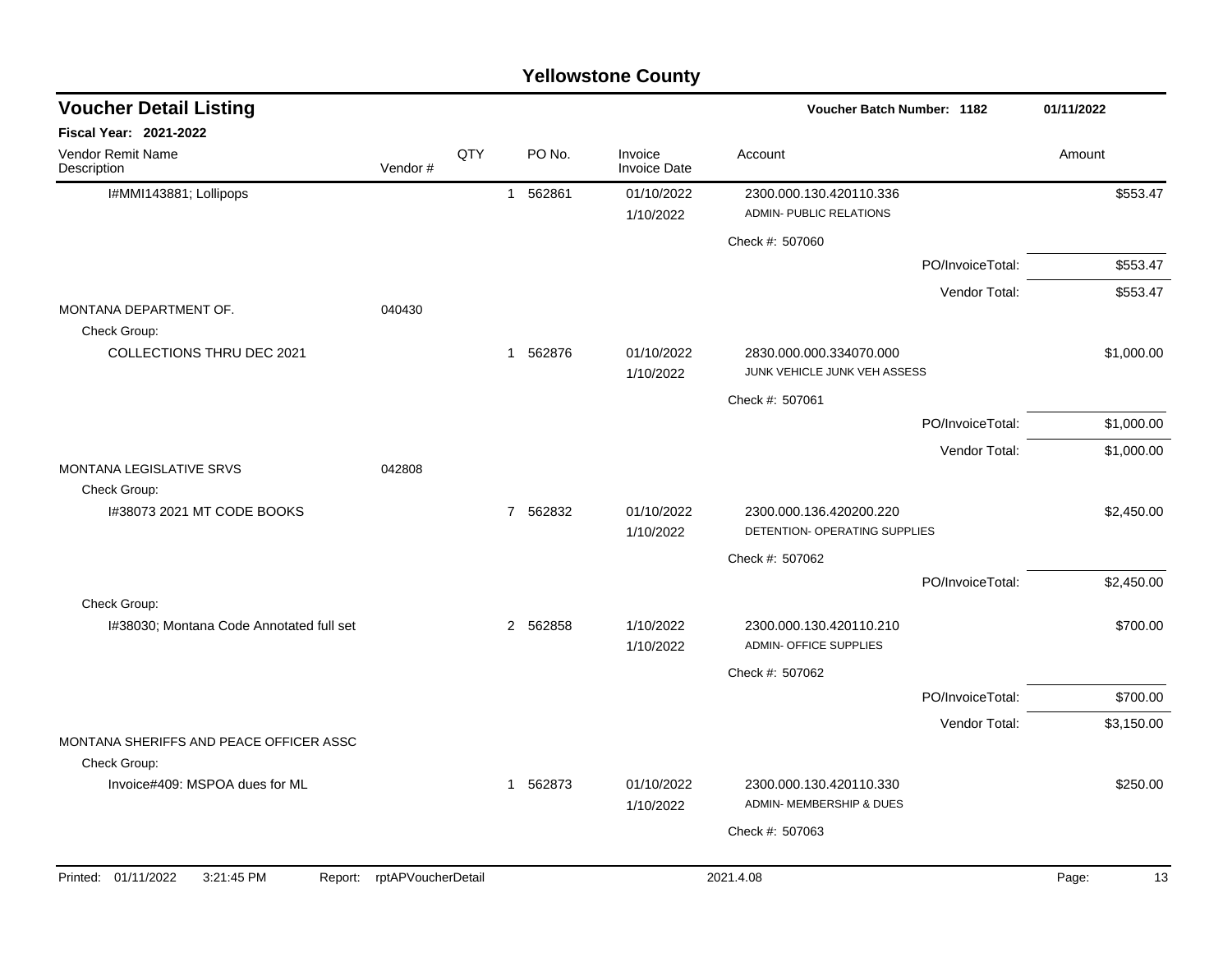| <b>Voucher Detail Listing</b>                           |                    |     |          |                                | Voucher Batch Number: 1182                               |                  | 01/11/2022  |
|---------------------------------------------------------|--------------------|-----|----------|--------------------------------|----------------------------------------------------------|------------------|-------------|
| <b>Fiscal Year: 2021-2022</b>                           |                    |     |          |                                |                                                          |                  |             |
| Vendor Remit Name<br>Description                        | Vendor#            | QTY | PO No.   | Invoice<br><b>Invoice Date</b> | Account                                                  |                  | Amount      |
| I#MMI143881; Lollipops                                  |                    |     | 1 562861 | 01/10/2022                     | 2300.000.130.420110.336                                  |                  | \$553.47    |
|                                                         |                    |     |          | 1/10/2022                      | ADMIN- PUBLIC RELATIONS                                  |                  |             |
|                                                         |                    |     |          |                                | Check #: 507060                                          |                  |             |
|                                                         |                    |     |          |                                |                                                          | PO/InvoiceTotal: | \$553.47    |
|                                                         |                    |     |          |                                |                                                          | Vendor Total:    | \$553.47    |
| MONTANA DEPARTMENT OF.<br>Check Group:                  | 040430             |     |          |                                |                                                          |                  |             |
| <b>COLLECTIONS THRU DEC 2021</b>                        |                    |     | 1 562876 | 01/10/2022<br>1/10/2022        | 2830.000.000.334070.000<br>JUNK VEHICLE JUNK VEH ASSESS  |                  | \$1,000.00  |
|                                                         |                    |     |          |                                | Check #: 507061                                          |                  |             |
|                                                         |                    |     |          |                                |                                                          | PO/InvoiceTotal: | \$1,000.00  |
|                                                         |                    |     |          |                                |                                                          | Vendor Total:    | \$1,000.00  |
| MONTANA LEGISLATIVE SRVS                                | 042808             |     |          |                                |                                                          |                  |             |
| Check Group:                                            |                    |     |          |                                |                                                          |                  |             |
| I#38073 2021 MT CODE BOOKS                              |                    |     | 7 562832 | 01/10/2022<br>1/10/2022        | 2300.000.136.420200.220<br>DETENTION- OPERATING SUPPLIES |                  | \$2,450.00  |
|                                                         |                    |     |          |                                | Check #: 507062                                          |                  |             |
|                                                         |                    |     |          |                                |                                                          | PO/InvoiceTotal: | \$2,450.00  |
| Check Group:                                            |                    |     |          |                                |                                                          |                  |             |
| I#38030; Montana Code Annotated full set                |                    |     | 2 562858 | 1/10/2022<br>1/10/2022         | 2300.000.130.420110.210<br>ADMIN- OFFICE SUPPLIES        |                  | \$700.00    |
|                                                         |                    |     |          |                                | Check #: 507062                                          |                  |             |
|                                                         |                    |     |          |                                |                                                          | PO/InvoiceTotal: | \$700.00    |
|                                                         |                    |     |          |                                |                                                          | Vendor Total:    | \$3,150.00  |
| MONTANA SHERIFFS AND PEACE OFFICER ASSC<br>Check Group: |                    |     |          |                                |                                                          |                  |             |
| Invoice#409: MSPOA dues for ML                          |                    |     | 1 562873 | 01/10/2022<br>1/10/2022        | 2300.000.130.420110.330<br>ADMIN- MEMBERSHIP & DUES      |                  | \$250.00    |
|                                                         |                    |     |          |                                | Check #: 507063                                          |                  |             |
|                                                         |                    |     |          |                                |                                                          |                  |             |
| Printed: 01/11/2022<br>3:21:45 PM<br>Report:            | rptAPVoucherDetail |     |          |                                | 2021.4.08                                                |                  | 13<br>Page: |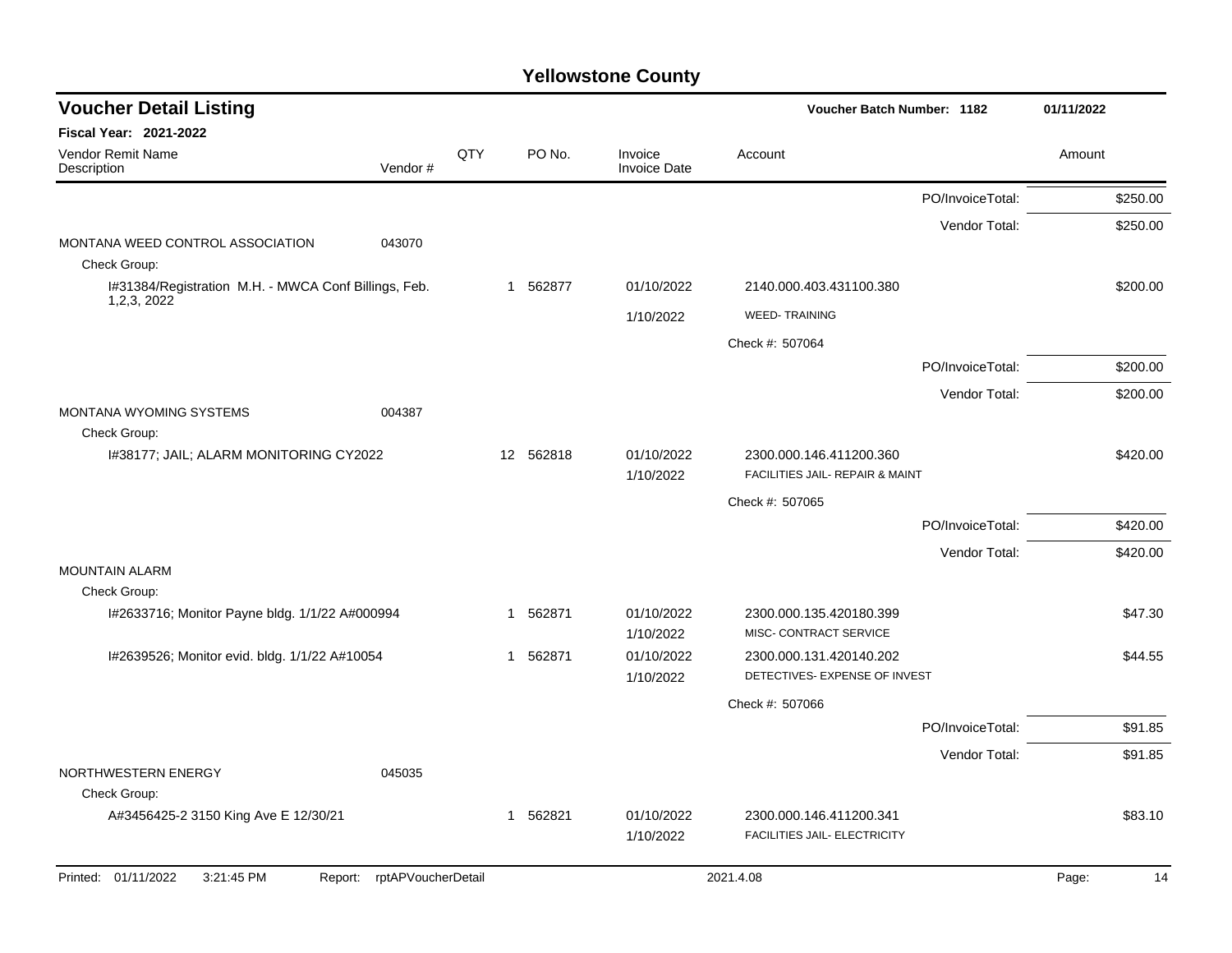| <b>Voucher Detail Listing</b>                                         |                    |     |           |                                | Voucher Batch Number: 1182                        |                  | 01/11/2022 |          |
|-----------------------------------------------------------------------|--------------------|-----|-----------|--------------------------------|---------------------------------------------------|------------------|------------|----------|
| Fiscal Year: 2021-2022                                                |                    |     |           |                                |                                                   |                  |            |          |
| Vendor Remit Name<br>Description                                      | Vendor#            | QTY | PO No.    | Invoice<br><b>Invoice Date</b> | Account                                           |                  | Amount     |          |
|                                                                       |                    |     |           |                                |                                                   | PO/InvoiceTotal: |            | \$250.00 |
|                                                                       |                    |     |           |                                |                                                   | Vendor Total:    |            | \$250.00 |
| MONTANA WEED CONTROL ASSOCIATION<br>043070<br>Check Group:            |                    |     |           |                                |                                                   |                  |            |          |
| I#31384/Registration M.H. - MWCA Conf Billings, Feb.<br>1, 2, 3, 2022 |                    |     | 1 562877  | 01/10/2022                     | 2140.000.403.431100.380                           |                  |            | \$200.00 |
|                                                                       |                    |     |           | 1/10/2022                      | <b>WEED-TRAINING</b>                              |                  |            |          |
|                                                                       |                    |     |           |                                | Check #: 507064                                   |                  |            |          |
|                                                                       |                    |     |           |                                |                                                   | PO/InvoiceTotal: |            | \$200.00 |
|                                                                       |                    |     |           |                                |                                                   | Vendor Total:    |            | \$200.00 |
| MONTANA WYOMING SYSTEMS<br>004387                                     |                    |     |           |                                |                                                   |                  |            |          |
| Check Group:<br>I#38177; JAIL; ALARM MONITORING CY2022                |                    |     | 12 562818 | 01/10/2022                     | 2300.000.146.411200.360                           |                  |            | \$420.00 |
|                                                                       |                    |     |           | 1/10/2022                      | FACILITIES JAIL- REPAIR & MAINT                   |                  |            |          |
|                                                                       |                    |     |           |                                | Check #: 507065                                   |                  |            |          |
|                                                                       |                    |     |           |                                |                                                   | PO/InvoiceTotal: |            | \$420.00 |
|                                                                       |                    |     |           |                                |                                                   | Vendor Total:    |            | \$420.00 |
| <b>MOUNTAIN ALARM</b>                                                 |                    |     |           |                                |                                                   |                  |            |          |
| Check Group:                                                          |                    |     |           |                                |                                                   |                  |            |          |
| I#2633716; Monitor Payne bldg. 1/1/22 A#000994                        |                    | -1  | 562871    | 01/10/2022                     | 2300.000.135.420180.399                           |                  |            | \$47.30  |
| I#2639526; Monitor evid. bldg. 1/1/22 A#10054                         |                    |     | 1 562871  | 1/10/2022<br>01/10/2022        | MISC- CONTRACT SERVICE<br>2300.000.131.420140.202 |                  |            | \$44.55  |
|                                                                       |                    |     |           | 1/10/2022                      | DETECTIVES- EXPENSE OF INVEST                     |                  |            |          |
|                                                                       |                    |     |           |                                | Check #: 507066                                   |                  |            |          |
|                                                                       |                    |     |           |                                |                                                   | PO/InvoiceTotal: |            | \$91.85  |
|                                                                       |                    |     |           |                                |                                                   | Vendor Total:    |            | \$91.85  |
| NORTHWESTERN ENERGY<br>045035<br>Check Group:                         |                    |     |           |                                |                                                   |                  |            |          |
| A#3456425-2 3150 King Ave E 12/30/21                                  |                    |     | 1 562821  | 01/10/2022                     | 2300.000.146.411200.341                           |                  |            | \$83.10  |
|                                                                       |                    |     |           | 1/10/2022                      | FACILITIES JAIL- ELECTRICITY                      |                  |            |          |
| Printed: 01/11/2022<br>3:21:45 PM<br>Report:                          | rptAPVoucherDetail |     |           |                                | 2021.4.08                                         |                  | Page:      | 14       |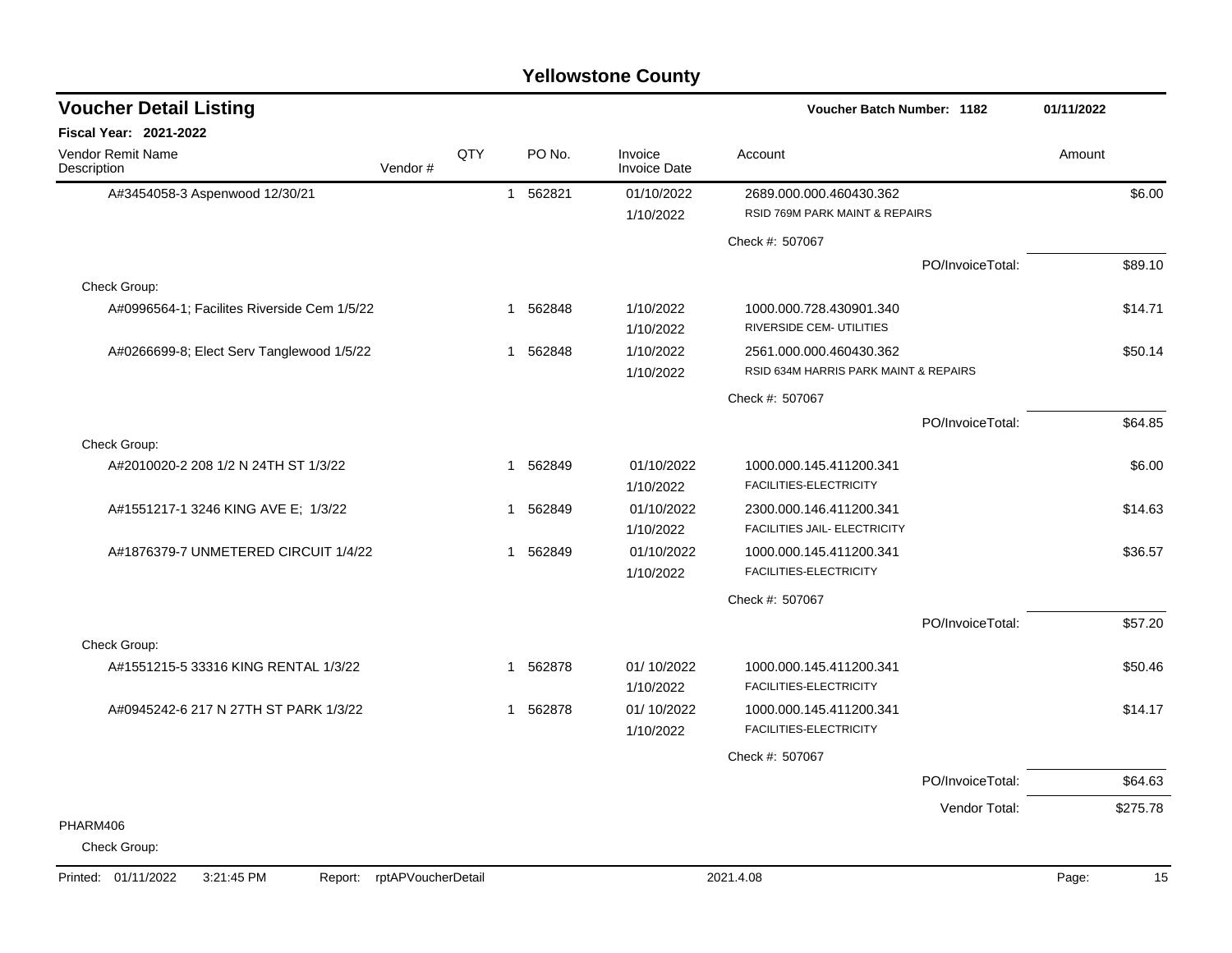| <b>Voucher Detail Listing</b>               |         |     |              |          |                                | Voucher Batch Number: 1182                                       |                  | 01/11/2022 |
|---------------------------------------------|---------|-----|--------------|----------|--------------------------------|------------------------------------------------------------------|------------------|------------|
| <b>Fiscal Year: 2021-2022</b>               |         |     |              |          |                                |                                                                  |                  |            |
| <b>Vendor Remit Name</b><br>Description     | Vendor# | QTY |              | PO No.   | Invoice<br><b>Invoice Date</b> | Account                                                          |                  | Amount     |
| A#3454058-3 Aspenwood 12/30/21              |         |     |              | 1 562821 | 01/10/2022<br>1/10/2022        | 2689.000.000.460430.362<br>RSID 769M PARK MAINT & REPAIRS        |                  | \$6.00     |
|                                             |         |     |              |          |                                | Check #: 507067                                                  |                  |            |
|                                             |         |     |              |          |                                |                                                                  | PO/InvoiceTotal: | \$89.10    |
| Check Group:                                |         |     |              |          |                                |                                                                  |                  |            |
| A#0996564-1; Facilites Riverside Cem 1/5/22 |         |     | $\mathbf 1$  | 562848   | 1/10/2022<br>1/10/2022         | 1000.000.728.430901.340<br>RIVERSIDE CEM- UTILITIES              |                  | \$14.71    |
| A#0266699-8; Elect Serv Tanglewood 1/5/22   |         |     | $\mathbf 1$  | 562848   | 1/10/2022<br>1/10/2022         | 2561.000.000.460430.362<br>RSID 634M HARRIS PARK MAINT & REPAIRS |                  | \$50.14    |
|                                             |         |     |              |          |                                | Check #: 507067                                                  |                  |            |
|                                             |         |     |              |          |                                |                                                                  | PO/InvoiceTotal: | \$64.85    |
| Check Group:                                |         |     |              |          |                                |                                                                  |                  |            |
| A#2010020-2 208 1/2 N 24TH ST 1/3/22        |         |     | $\mathbf{1}$ | 562849   | 01/10/2022<br>1/10/2022        | 1000.000.145.411200.341<br>FACILITIES-ELECTRICITY                |                  | \$6.00     |
| A#1551217-1 3246 KING AVE E; 1/3/22         |         |     |              | 1 562849 | 01/10/2022<br>1/10/2022        | 2300.000.146.411200.341<br>FACILITIES JAIL- ELECTRICITY          |                  | \$14.63    |
| A#1876379-7 UNMETERED CIRCUIT 1/4/22        |         |     |              | 1 562849 | 01/10/2022<br>1/10/2022        | 1000.000.145.411200.341<br>FACILITIES-ELECTRICITY                |                  | \$36.57    |
|                                             |         |     |              |          |                                | Check #: 507067                                                  |                  |            |
|                                             |         |     |              |          |                                |                                                                  | PO/InvoiceTotal: | \$57.20    |
| Check Group:                                |         |     |              |          |                                |                                                                  |                  |            |
| A#1551215-5 33316 KING RENTAL 1/3/22        |         |     | $\mathbf 1$  | 562878   | 01/10/2022<br>1/10/2022        | 1000.000.145.411200.341<br>FACILITIES-ELECTRICITY                |                  | \$50.46    |
| A#0945242-6 217 N 27TH ST PARK 1/3/22       |         |     | 1            | 562878   | 01/10/2022<br>1/10/2022        | 1000.000.145.411200.341<br>FACILITIES-ELECTRICITY                |                  | \$14.17    |
|                                             |         |     |              |          |                                | Check #: 507067                                                  |                  |            |
|                                             |         |     |              |          |                                |                                                                  | PO/InvoiceTotal: | \$64.63    |
|                                             |         |     |              |          |                                |                                                                  | Vendor Total:    | \$275.78   |
| PHARM406                                    |         |     |              |          |                                |                                                                  |                  |            |
| Check Group:                                |         |     |              |          |                                |                                                                  |                  |            |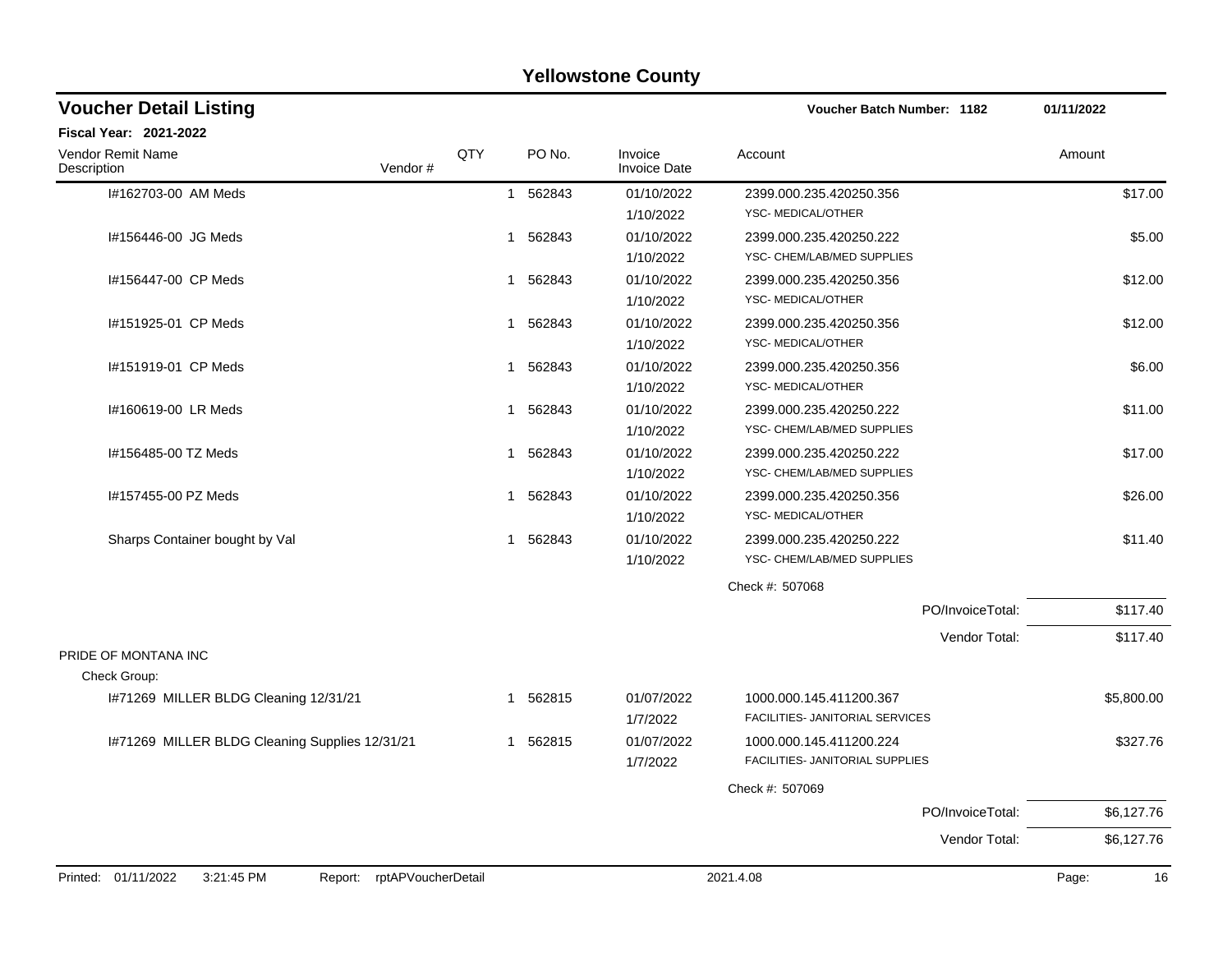### I#162703-00 AM Meds 1 562843 01/10/2022 2399.000.235.420250.356 \$17.00 1/10/2022 YSC- MEDICAL/OTHER I#156446-00 JG Meds 1 562843 01/10/2022 2399.000.235.420250.222 \$5.00 1/10/2022 YSC- CHEM/LAB/MED SUPPLIES I#156447-00 CP Meds 1 562843 01/10/2022 2399.000.235.420250.356 \$12.00 1/10/2022 YSC- MEDICAL/OTHER I#151925-01 CP Meds 1 562843 01/10/2022 2399.000.235.420250.356 \$12.00 1/10/2022 YSC- MEDICAL/OTHER I#151919-01 CP Meds 1 562843 01/10/2022 2399.000.235.420250.356 \$6.00 1/10/2022 YSC- MEDICAL/OTHER I#160619-00 LR Meds 1 562843 01/10/2022 2399.000.235.420250.222 \$11.00 1/10/2022 YSC- CHEM/LAB/MED SUPPLIES I#156485-00 TZ Meds 1 562843 01/10/2022 2399.000.235.420250.222 \$17.00 1/10/2022 YSC- CHEM/LAB/MED SUPPLIES I#157455-00 PZ Meds 1 562843 01/10/2022 2399.000.235.420250.356 \$26.00 1/10/2022 YSC- MEDICAL/OTHER Sharps Container bought by Val  $\qquad \qquad$  1 562843 01/10/2022 2399.000.235.420250.222 \$11.40 1/10/2022 YSC- CHEM/LAB/MED SUPPLIES Check #: 507068 PO/InvoiceTotal: \$117.40 Vendor Total: \$117.40 PRIDE OF MONTANA INC Check Group: I#71269 MILLER BLDG Cleaning 12/31/21 1 562815 01/07/2022 1000.000.145.411200.367 55,800.00 1/7/2022 FACILITIES- JANITORIAL SERVICES I#71269 MILLER BLDG Cleaning Supplies 12/31/21 1 562815 01/07/2022 1000.000.145.411200.224 \$327.76 1/7/2022 FACILITIES- JANITORIAL SUPPLIES Check #: 507069 PO/InvoiceTotal: \$6,127.76 Vendor Total: \$6,127.76 **Voucher Batch Number: Yellowstone County** Vendor Remit Name **Description Voucher Detail Listing Fiscal Year: 2021-2022 1182 01/11/2022** PO No. Invoice Account Amount Amount Amount Amount Vendor # QTY Invoice Date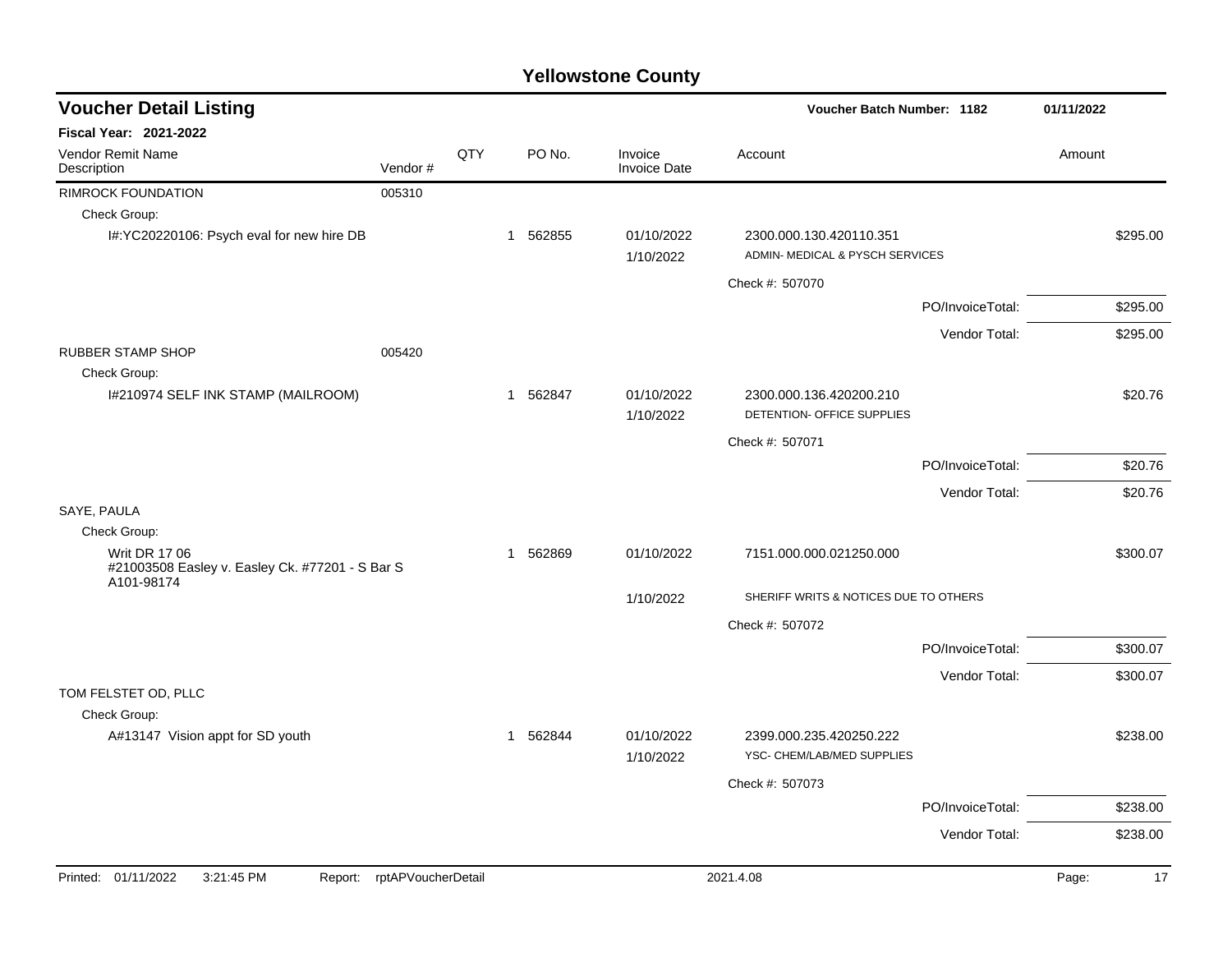| <b>Voucher Detail Listing</b>                                                         |                    |     |             |                                | Voucher Batch Number: 1182                                 |                  | 01/11/2022  |
|---------------------------------------------------------------------------------------|--------------------|-----|-------------|--------------------------------|------------------------------------------------------------|------------------|-------------|
| <b>Fiscal Year: 2021-2022</b>                                                         |                    |     |             |                                |                                                            |                  |             |
| <b>Vendor Remit Name</b><br>Description                                               | Vendor#            | QTY | PO No.      | Invoice<br><b>Invoice Date</b> | Account                                                    |                  | Amount      |
| <b>RIMROCK FOUNDATION</b>                                                             | 005310             |     |             |                                |                                                            |                  |             |
| Check Group:                                                                          |                    |     |             |                                |                                                            |                  |             |
| I#:YC20220106: Psych eval for new hire DB                                             |                    |     | 1 562855    | 01/10/2022<br>1/10/2022        | 2300.000.130.420110.351<br>ADMIN- MEDICAL & PYSCH SERVICES |                  | \$295.00    |
|                                                                                       |                    |     |             |                                | Check #: 507070                                            |                  |             |
|                                                                                       |                    |     |             |                                |                                                            | PO/InvoiceTotal: | \$295.00    |
|                                                                                       |                    |     |             |                                |                                                            | Vendor Total:    | \$295.00    |
| <b>RUBBER STAMP SHOP</b>                                                              | 005420             |     |             |                                |                                                            |                  |             |
| Check Group:                                                                          |                    |     |             |                                |                                                            |                  |             |
| I#210974 SELF INK STAMP (MAILROOM)                                                    |                    |     | 1 562847    | 01/10/2022<br>1/10/2022        | 2300.000.136.420200.210<br>DETENTION- OFFICE SUPPLIES      |                  | \$20.76     |
|                                                                                       |                    |     |             |                                | Check #: 507071                                            |                  |             |
|                                                                                       |                    |     |             |                                |                                                            | PO/InvoiceTotal: | \$20.76     |
|                                                                                       |                    |     |             |                                |                                                            | Vendor Total:    | \$20.76     |
| SAYE, PAULA                                                                           |                    |     |             |                                |                                                            |                  |             |
| Check Group:                                                                          |                    |     |             |                                |                                                            |                  |             |
| <b>Writ DR 17 06</b><br>#21003508 Easley v. Easley Ck. #77201 - S Bar S<br>A101-98174 |                    |     | 562869<br>1 | 01/10/2022                     | 7151.000.000.021250.000                                    |                  | \$300.07    |
|                                                                                       |                    |     |             | 1/10/2022                      | SHERIFF WRITS & NOTICES DUE TO OTHERS                      |                  |             |
|                                                                                       |                    |     |             |                                | Check #: 507072                                            |                  |             |
|                                                                                       |                    |     |             |                                |                                                            | PO/InvoiceTotal: | \$300.07    |
|                                                                                       |                    |     |             |                                |                                                            | Vendor Total:    | \$300.07    |
| TOM FELSTET OD, PLLC                                                                  |                    |     |             |                                |                                                            |                  |             |
| Check Group:                                                                          |                    |     |             |                                |                                                            |                  |             |
| A#13147 Vision appt for SD youth                                                      |                    |     | 562844<br>1 | 01/10/2022                     | 2399.000.235.420250.222<br>YSC- CHEM/LAB/MED SUPPLIES      |                  | \$238.00    |
|                                                                                       |                    |     |             | 1/10/2022                      |                                                            |                  |             |
|                                                                                       |                    |     |             |                                | Check #: 507073                                            |                  |             |
|                                                                                       |                    |     |             |                                |                                                            | PO/InvoiceTotal: | \$238.00    |
|                                                                                       |                    |     |             |                                |                                                            | Vendor Total:    | \$238.00    |
| Printed: 01/11/2022<br>3:21:45 PM<br>Report:                                          | rptAPVoucherDetail |     |             |                                | 2021.4.08                                                  |                  | Page:<br>17 |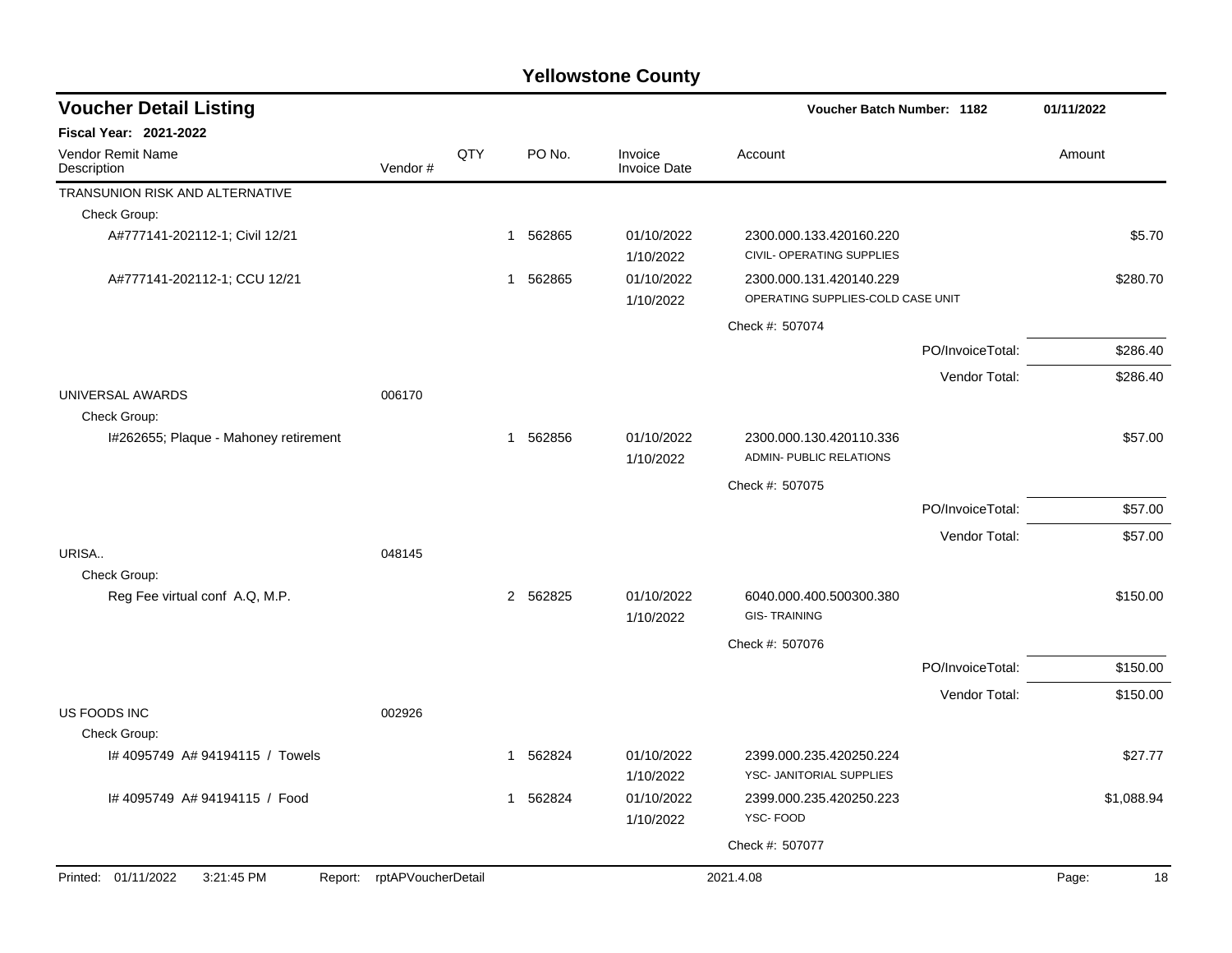| <b>Voucher Detail Listing</b>           |                            |     |             |                                | <b>Voucher Batch Number: 1182</b>                            |                  | 01/11/2022 |
|-----------------------------------------|----------------------------|-----|-------------|--------------------------------|--------------------------------------------------------------|------------------|------------|
| <b>Fiscal Year: 2021-2022</b>           |                            |     |             |                                |                                                              |                  |            |
| <b>Vendor Remit Name</b><br>Description | Vendor#                    | QTY | PO No.      | Invoice<br><b>Invoice Date</b> | Account                                                      |                  | Amount     |
| TRANSUNION RISK AND ALTERNATIVE         |                            |     |             |                                |                                                              |                  |            |
| Check Group:                            |                            |     |             |                                |                                                              |                  |            |
| A#777141-202112-1; Civil 12/21          |                            |     | 1 562865    | 01/10/2022<br>1/10/2022        | 2300.000.133.420160.220<br>CIVIL- OPERATING SUPPLIES         |                  | \$5.70     |
| A#777141-202112-1; CCU 12/21            |                            |     | 1 562865    | 01/10/2022<br>1/10/2022        | 2300.000.131.420140.229<br>OPERATING SUPPLIES-COLD CASE UNIT |                  | \$280.70   |
|                                         |                            |     |             |                                | Check #: 507074                                              |                  |            |
|                                         |                            |     |             |                                |                                                              | PO/InvoiceTotal: | \$286.40   |
|                                         |                            |     |             |                                |                                                              | Vendor Total:    | \$286.40   |
| UNIVERSAL AWARDS<br>Check Group:        | 006170                     |     |             |                                |                                                              |                  |            |
| I#262655; Plaque - Mahoney retirement   |                            |     | 1 562856    | 01/10/2022<br>1/10/2022        | 2300.000.130.420110.336<br>ADMIN- PUBLIC RELATIONS           |                  | \$57.00    |
|                                         |                            |     |             |                                | Check #: 507075                                              |                  |            |
|                                         |                            |     |             |                                |                                                              | PO/InvoiceTotal: | \$57.00    |
|                                         |                            |     |             |                                |                                                              | Vendor Total:    | \$57.00    |
| URISA                                   | 048145                     |     |             |                                |                                                              |                  |            |
| Check Group:                            |                            |     |             |                                |                                                              |                  |            |
| Reg Fee virtual conf A.Q, M.P.          |                            |     | 2 562825    | 01/10/2022<br>1/10/2022        | 6040.000.400.500300.380<br><b>GIS-TRAINING</b>               |                  | \$150.00   |
|                                         |                            |     |             |                                | Check #: 507076                                              |                  |            |
|                                         |                            |     |             |                                |                                                              | PO/InvoiceTotal: | \$150.00   |
|                                         |                            |     |             |                                |                                                              | Vendor Total:    | \$150.00   |
| US FOODS INC                            | 002926                     |     |             |                                |                                                              |                  |            |
| Check Group:                            |                            |     |             |                                |                                                              |                  |            |
| I# 4095749 A# 94194115 / Towels         |                            |     | 562824<br>1 | 01/10/2022<br>1/10/2022        | 2399.000.235.420250.224<br>YSC- JANITORIAL SUPPLIES          |                  | \$27.77    |
| I# 4095749 A# 94194115 / Food           |                            |     | 562824<br>1 | 01/10/2022<br>1/10/2022        | 2399.000.235.420250.223<br>YSC-FOOD                          |                  | \$1,088.94 |
|                                         |                            |     |             |                                | Check #: 507077                                              |                  |            |
| Printed: 01/11/2022<br>3:21:45 PM       | Report: rptAPVoucherDetail |     |             |                                | 2021.4.08                                                    |                  | 18         |
|                                         |                            |     |             |                                |                                                              |                  | Page:      |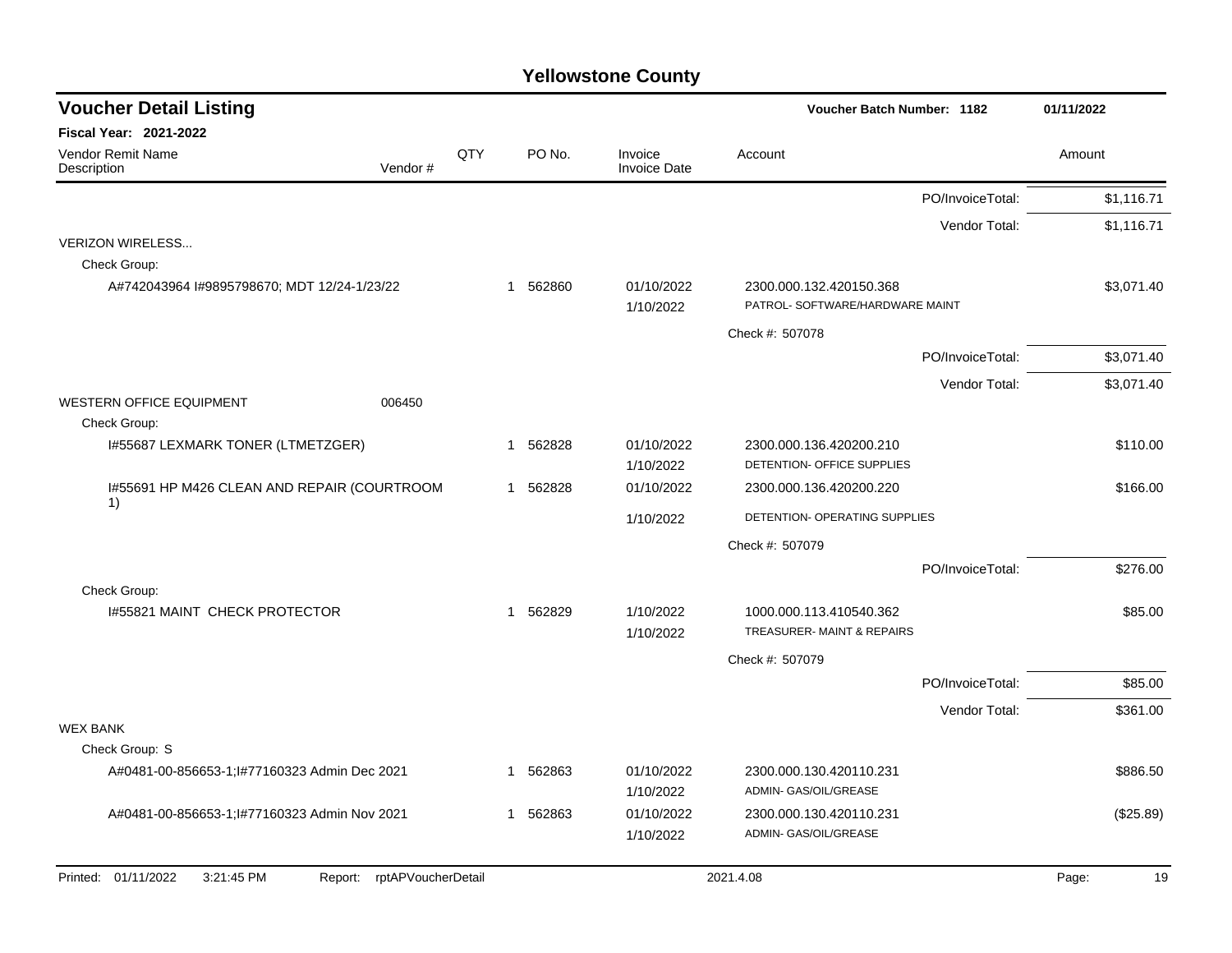| <b>Voucher Detail Listing</b>                                   |     |                        |                                | Voucher Batch Number: 1182                                 | 01/11/2022  |
|-----------------------------------------------------------------|-----|------------------------|--------------------------------|------------------------------------------------------------|-------------|
| <b>Fiscal Year: 2021-2022</b>                                   |     |                        |                                |                                                            |             |
| Vendor Remit Name<br>Vendor#<br>Description                     | QTY | PO No.                 | Invoice<br><b>Invoice Date</b> | Account                                                    | Amount      |
|                                                                 |     |                        |                                | PO/InvoiceTotal:                                           | \$1.116.71  |
|                                                                 |     |                        |                                | Vendor Total:                                              | \$1,116.71  |
| <b>VERIZON WIRELESS</b>                                         |     |                        |                                |                                                            |             |
| Check Group:                                                    |     |                        |                                |                                                            |             |
| A#742043964 I#9895798670; MDT 12/24-1/23/22                     |     | 562860<br>$\mathbf{1}$ | 01/10/2022<br>1/10/2022        | 2300.000.132.420150.368<br>PATROL- SOFTWARE/HARDWARE MAINT | \$3,071.40  |
|                                                                 |     |                        |                                | Check #: 507078                                            |             |
|                                                                 |     |                        |                                | PO/InvoiceTotal:                                           | \$3,071.40  |
|                                                                 |     |                        |                                | Vendor Total:                                              | \$3,071.40  |
| <b>WESTERN OFFICE EQUIPMENT</b><br>006450                       |     |                        |                                |                                                            |             |
| Check Group:                                                    |     |                        |                                |                                                            |             |
| I#55687 LEXMARK TONER (LTMETZGER)                               |     | 562828<br>$\mathbf{1}$ | 01/10/2022                     | 2300.000.136.420200.210                                    | \$110.00    |
|                                                                 |     |                        | 1/10/2022                      | DETENTION- OFFICE SUPPLIES                                 |             |
| 1#55691 HP M426 CLEAN AND REPAIR (COURTROOM<br>1)               |     | 1 562828               | 01/10/2022                     | 2300.000.136.420200.220                                    | \$166.00    |
|                                                                 |     |                        | 1/10/2022                      | DETENTION- OPERATING SUPPLIES                              |             |
|                                                                 |     |                        |                                | Check #: 507079                                            |             |
|                                                                 |     |                        |                                | PO/InvoiceTotal:                                           | \$276.00    |
| Check Group:                                                    |     |                        |                                |                                                            |             |
| 1#55821 MAINT CHECK PROTECTOR                                   |     | 1 562829               | 1/10/2022                      | 1000.000.113.410540.362                                    | \$85.00     |
|                                                                 |     |                        | 1/10/2022                      | TREASURER-MAINT & REPAIRS                                  |             |
|                                                                 |     |                        |                                | Check #: 507079                                            |             |
|                                                                 |     |                        |                                | PO/InvoiceTotal:                                           | \$85.00     |
|                                                                 |     |                        |                                | Vendor Total:                                              | \$361.00    |
| <b>WEX BANK</b>                                                 |     |                        |                                |                                                            |             |
| Check Group: S                                                  |     |                        |                                |                                                            |             |
| A#0481-00-856653-1;l#77160323 Admin Dec 2021                    |     | 1 562863               | 01/10/2022<br>1/10/2022        | 2300.000.130.420110.231<br>ADMIN- GAS/OIL/GREASE           | \$886.50    |
| A#0481-00-856653-1;1#77160323 Admin Nov 2021                    |     | 1 562863               | 01/10/2022                     | 2300.000.130.420110.231                                    | (\$25.89)   |
|                                                                 |     |                        | 1/10/2022                      | ADMIN- GAS/OIL/GREASE                                      |             |
| Printed: 01/11/2022<br>3:21:45 PM<br>Report: rptAPVoucherDetail |     |                        |                                | 2021.4.08                                                  | 19<br>Page: |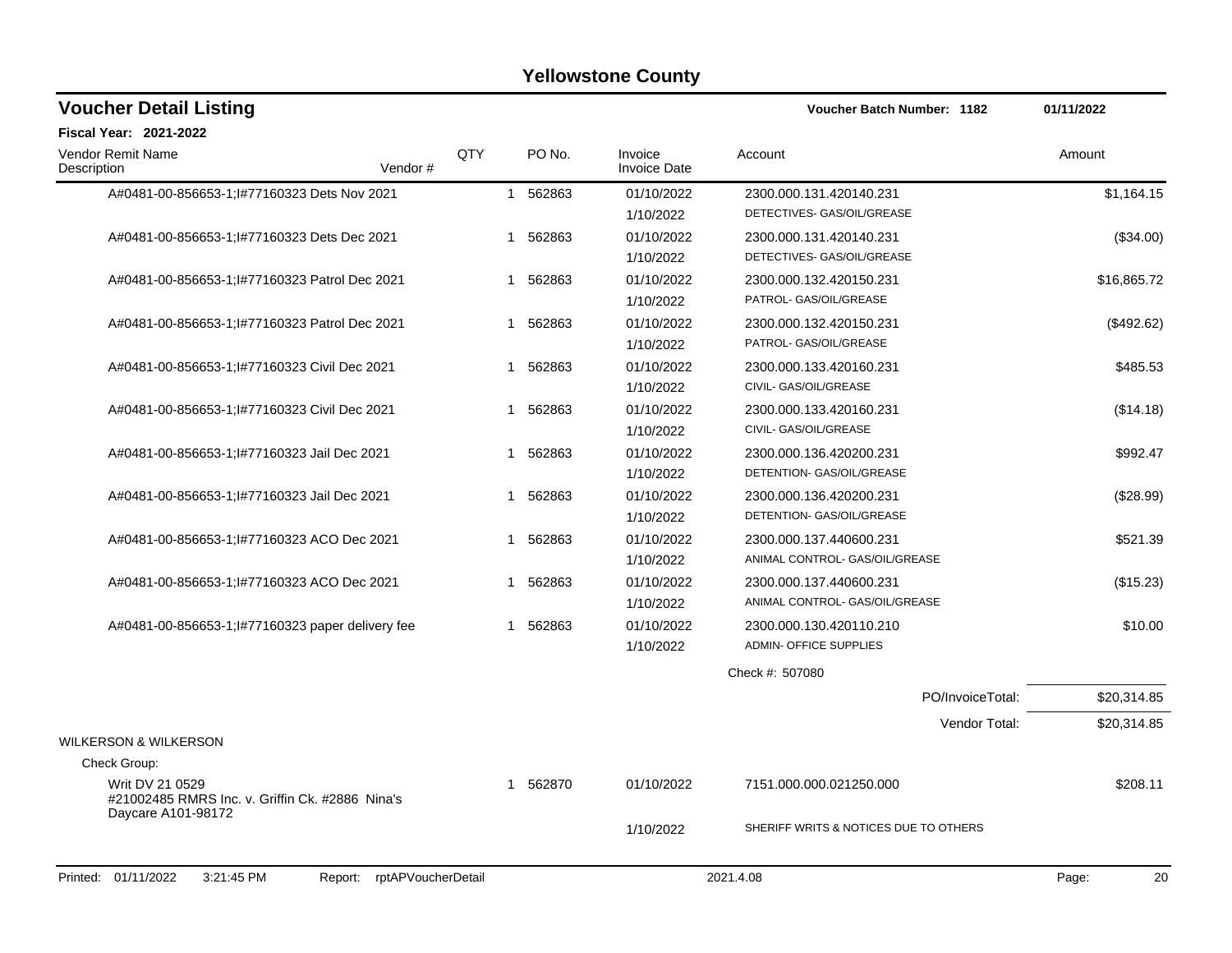| <b>Voucher Detail Listing</b>                                                            |     |                        |                                | <b>Voucher Batch Number: 1182</b>     | 01/11/2022  |
|------------------------------------------------------------------------------------------|-----|------------------------|--------------------------------|---------------------------------------|-------------|
| <b>Fiscal Year: 2021-2022</b>                                                            |     |                        |                                |                                       |             |
| Vendor Remit Name<br>Vendor#<br>Description                                              | QTY | PO No.                 | Invoice<br><b>Invoice Date</b> | Account                               | Amount      |
| A#0481-00-856653-1;l#77160323 Dets Nov 2021                                              |     | 1 562863               | 01/10/2022                     | 2300.000.131.420140.231               | \$1,164.15  |
|                                                                                          |     |                        | 1/10/2022                      | DETECTIVES- GAS/OIL/GREASE            |             |
| A#0481-00-856653-1; I#77160323 Dets Dec 2021                                             |     | 562863<br>$\mathbf{1}$ | 01/10/2022                     | 2300.000.131.420140.231               | (\$34.00)   |
|                                                                                          |     |                        | 1/10/2022                      | DETECTIVES- GAS/OIL/GREASE            |             |
| A#0481-00-856653-1; I#77160323 Patrol Dec 2021                                           |     | 562863<br>$\mathbf{1}$ | 01/10/2022                     | 2300.000.132.420150.231               | \$16,865.72 |
|                                                                                          |     |                        | 1/10/2022                      | PATROL- GAS/OIL/GREASE                |             |
| A#0481-00-856653-1; I#77160323 Patrol Dec 2021                                           |     | 562863<br>$\mathbf{1}$ | 01/10/2022                     | 2300.000.132.420150.231               | (\$492.62)  |
|                                                                                          |     |                        | 1/10/2022                      | PATROL- GAS/OIL/GREASE                |             |
| A#0481-00-856653-1; I#77160323 Civil Dec 2021                                            |     | 562863<br>$\mathbf{1}$ | 01/10/2022                     | 2300.000.133.420160.231               | \$485.53    |
|                                                                                          |     |                        | 1/10/2022                      | CIVIL- GAS/OIL/GREASE                 |             |
| A#0481-00-856653-1; I#77160323 Civil Dec 2021                                            |     | 1 562863               | 01/10/2022                     | 2300.000.133.420160.231               | (\$14.18)   |
|                                                                                          |     |                        | 1/10/2022                      | CIVIL- GAS/OIL/GREASE                 |             |
| A#0481-00-856653-1; I#77160323 Jail Dec 2021                                             |     | 562863<br>$\mathbf{1}$ | 01/10/2022                     | 2300.000.136.420200.231               | \$992.47    |
|                                                                                          |     |                        | 1/10/2022                      | DETENTION- GAS/OIL/GREASE             |             |
| A#0481-00-856653-1; I#77160323 Jail Dec 2021                                             |     | 562863<br>1            | 01/10/2022                     | 2300.000.136.420200.231               | (\$28.99)   |
|                                                                                          |     |                        | 1/10/2022                      | DETENTION- GAS/OIL/GREASE             |             |
| A#0481-00-856653-1; I#77160323 ACO Dec 2021                                              |     | 562863<br>1            | 01/10/2022                     | 2300.000.137.440600.231               | \$521.39    |
|                                                                                          |     |                        | 1/10/2022                      | ANIMAL CONTROL- GAS/OIL/GREASE        |             |
| A#0481-00-856653-1; I#77160323 ACO Dec 2021                                              |     | 562863<br>1            | 01/10/2022                     | 2300.000.137.440600.231               | (\$15.23)   |
|                                                                                          |     |                        | 1/10/2022                      | ANIMAL CONTROL- GAS/OIL/GREASE        |             |
| A#0481-00-856653-1;1#77160323 paper delivery fee                                         |     | 1 562863               | 01/10/2022                     | 2300.000.130.420110.210               | \$10.00     |
|                                                                                          |     |                        | 1/10/2022                      | ADMIN- OFFICE SUPPLIES                |             |
|                                                                                          |     |                        |                                | Check #: 507080                       |             |
|                                                                                          |     |                        |                                | PO/InvoiceTotal:                      | \$20,314.85 |
|                                                                                          |     |                        |                                | Vendor Total:                         | \$20,314.85 |
| <b>WILKERSON &amp; WILKERSON</b>                                                         |     |                        |                                |                                       |             |
| Check Group:                                                                             |     |                        |                                |                                       |             |
| Writ DV 21 0529<br>#21002485 RMRS Inc. v. Griffin Ck. #2886 Nina's<br>Daycare A101-98172 |     | 1 562870               | 01/10/2022                     | 7151.000.000.021250.000               | \$208.11    |
|                                                                                          |     |                        | 1/10/2022                      | SHERIFF WRITS & NOTICES DUE TO OTHERS |             |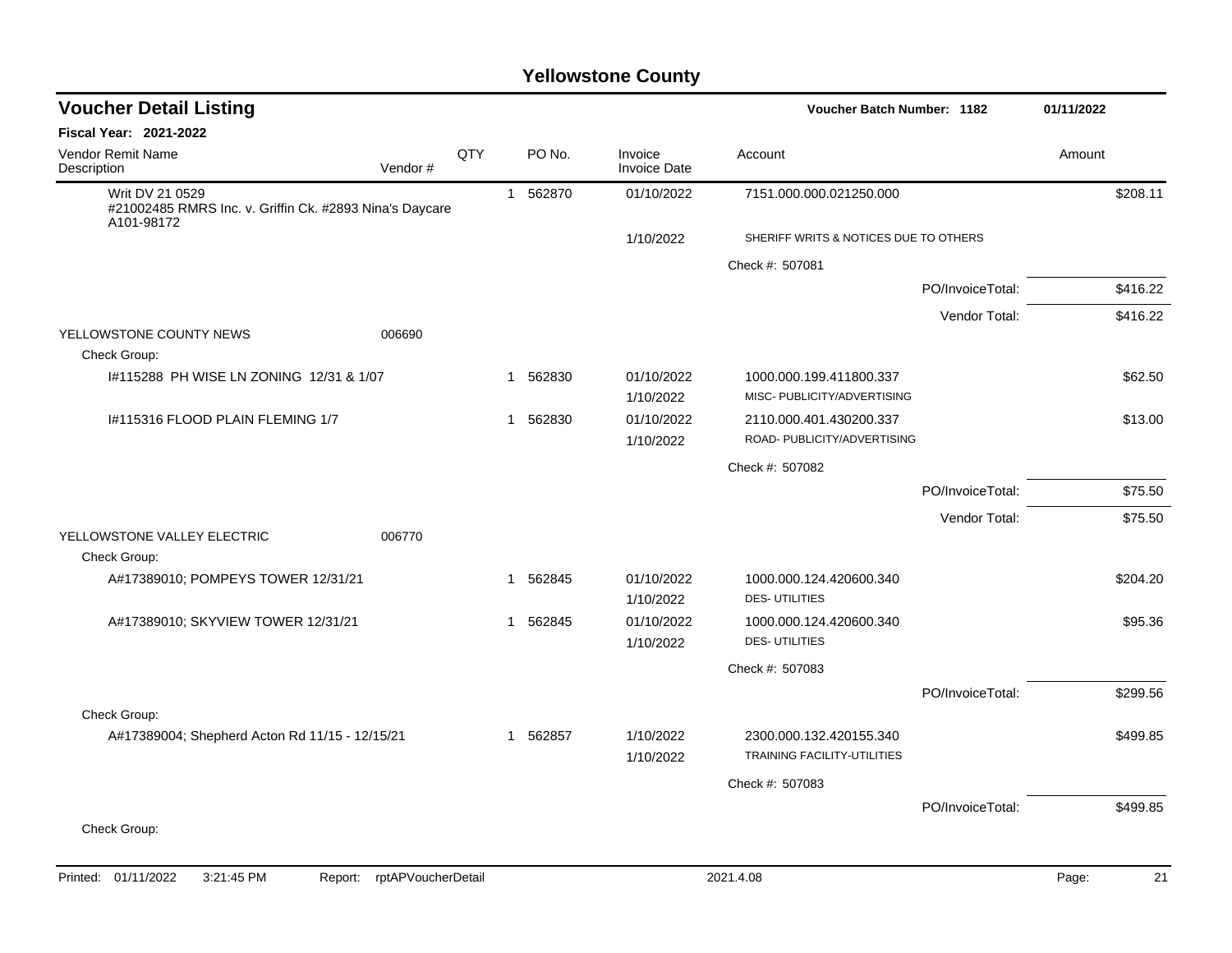| <b>Voucher Detail Listing</b>                                                            |         |     |                        | <b>Voucher Batch Number: 1182</b> |                                                               |                  | 01/11/2022 |
|------------------------------------------------------------------------------------------|---------|-----|------------------------|-----------------------------------|---------------------------------------------------------------|------------------|------------|
| <b>Fiscal Year: 2021-2022</b>                                                            |         |     |                        |                                   |                                                               |                  |            |
| <b>Vendor Remit Name</b><br>Description                                                  | Vendor# | QTY | PO No.                 | Invoice<br><b>Invoice Date</b>    | Account                                                       |                  | Amount     |
| Writ DV 21 0529<br>#21002485 RMRS Inc. v. Griffin Ck. #2893 Nina's Daycare<br>A101-98172 |         |     | 1 562870               | 01/10/2022                        | 7151.000.000.021250.000                                       |                  | \$208.11   |
|                                                                                          |         |     |                        | 1/10/2022                         | SHERIFF WRITS & NOTICES DUE TO OTHERS                         |                  |            |
|                                                                                          |         |     |                        |                                   | Check #: 507081                                               |                  |            |
|                                                                                          |         |     |                        |                                   |                                                               | PO/InvoiceTotal: | \$416.22   |
|                                                                                          |         |     |                        |                                   |                                                               | Vendor Total:    | \$416.22   |
| YELLOWSTONE COUNTY NEWS<br>Check Group:                                                  | 006690  |     |                        |                                   |                                                               |                  |            |
| 1#115288 PH WISE LN ZONING 12/31 & 1/07                                                  |         |     | 562830<br>$\mathbf{1}$ | 01/10/2022<br>1/10/2022           | 1000.000.199.411800.337<br>MISC- PUBLICITY/ADVERTISING        |                  | \$62.50    |
| I#115316 FLOOD PLAIN FLEMING 1/7                                                         |         |     | 1 562830               | 01/10/2022                        | 2110.000.401.430200.337                                       |                  | \$13.00    |
|                                                                                          |         |     |                        | 1/10/2022                         | ROAD- PUBLICITY/ADVERTISING                                   |                  |            |
|                                                                                          |         |     |                        |                                   | Check #: 507082                                               |                  |            |
|                                                                                          |         |     |                        |                                   |                                                               | PO/InvoiceTotal: | \$75.50    |
|                                                                                          |         |     |                        |                                   |                                                               | Vendor Total:    | \$75.50    |
| YELLOWSTONE VALLEY ELECTRIC                                                              | 006770  |     |                        |                                   |                                                               |                  |            |
| Check Group:                                                                             |         |     |                        |                                   |                                                               |                  |            |
| A#17389010; POMPEYS TOWER 12/31/21                                                       |         |     | 1 562845               | 01/10/2022<br>1/10/2022           | 1000.000.124.420600.340<br><b>DES-UTILITIES</b>               |                  | \$204.20   |
|                                                                                          |         |     | 562845                 |                                   |                                                               |                  | \$95.36    |
| A#17389010; SKYVIEW TOWER 12/31/21                                                       |         |     | 1                      | 01/10/2022<br>1/10/2022           | 1000.000.124.420600.340<br><b>DES-UTILITIES</b>               |                  |            |
|                                                                                          |         |     |                        |                                   | Check #: 507083                                               |                  |            |
|                                                                                          |         |     |                        |                                   |                                                               | PO/InvoiceTotal: | \$299.56   |
| Check Group:                                                                             |         |     |                        |                                   |                                                               |                  |            |
| A#17389004; Shepherd Acton Rd 11/15 - 12/15/21                                           |         |     | 562857<br>$\mathbf{1}$ | 1/10/2022<br>1/10/2022            | 2300.000.132.420155.340<br><b>TRAINING FACILITY-UTILITIES</b> |                  | \$499.85   |
|                                                                                          |         |     |                        |                                   | Check #: 507083                                               |                  |            |
|                                                                                          |         |     |                        |                                   |                                                               | PO/InvoiceTotal: | \$499.85   |
| Check Group:                                                                             |         |     |                        |                                   |                                                               |                  |            |
|                                                                                          |         |     |                        |                                   |                                                               |                  |            |